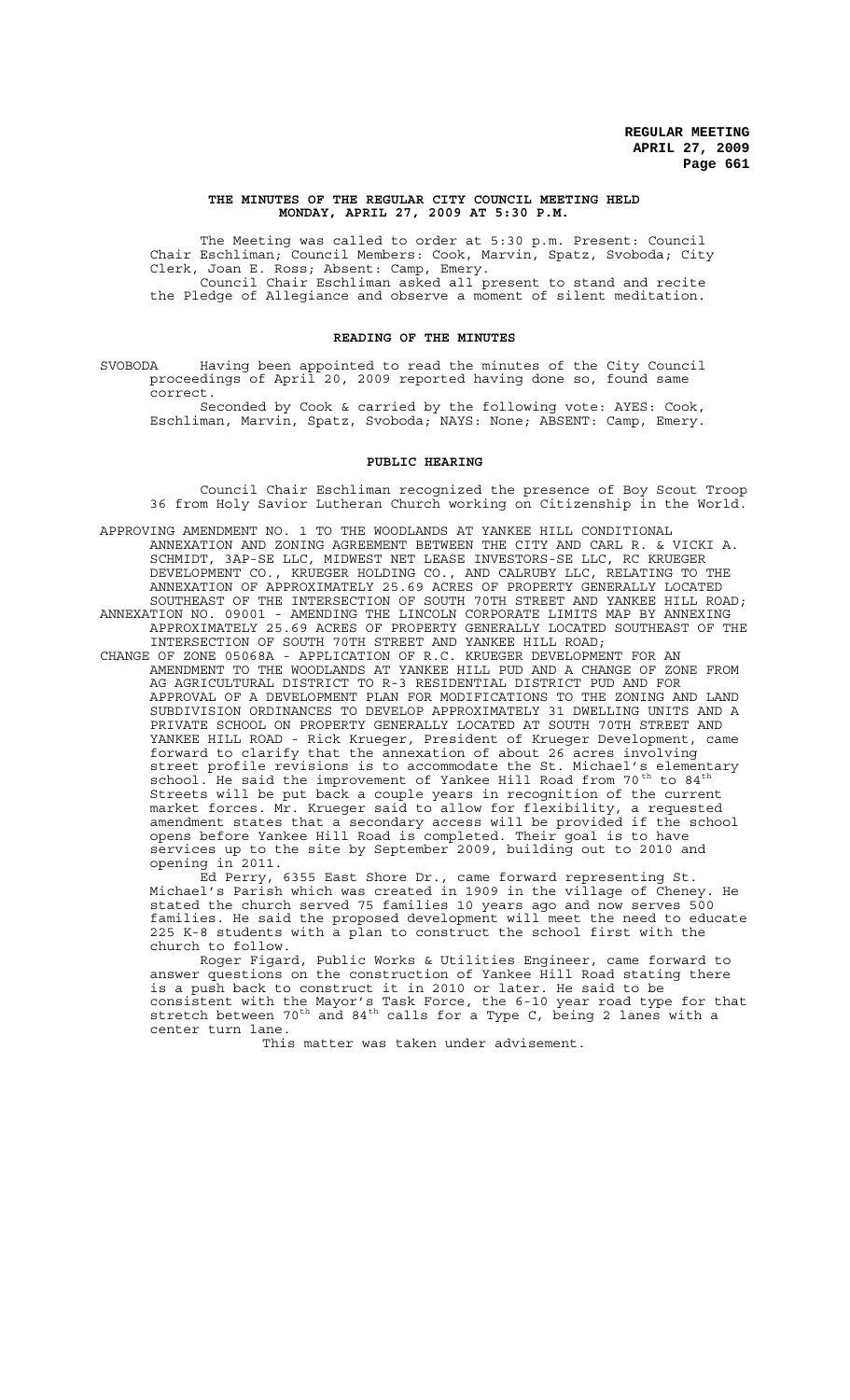## **THE MINUTES OF THE REGULAR CITY COUNCIL MEETING HELD MONDAY, APRIL 27, 2009 AT 5:30 P.M.**

The Meeting was called to order at 5:30 p.m. Present: Council Chair Eschliman; Council Members: Cook, Marvin, Spatz, Svoboda; City Clerk, Joan E. Ross; Absent: Camp, Emery. Council Chair Eschliman asked all present to stand and recite the Pledge of Allegiance and observe a moment of silent meditation.

# **READING OF THE MINUTES**

SVOBODA Having been appointed to read the minutes of the City Council proceedings of April 20, 2009 reported having done so, found same correct.

Seconded by Cook & carried by the following vote: AYES: Cook, Eschliman, Marvin, Spatz, Svoboda; NAYS: None; ABSENT: Camp, Emery.

## **PUBLIC HEARING**

Council Chair Eschliman recognized the presence of Boy Scout Troop 36 from Holy Savior Lutheran Church working on Citizenship in the World.

APPROVING AMENDMENT NO. 1 TO THE WOODLANDS AT YANKEE HILL CONDITIONAL ANNEXATION AND ZONING AGREEMENT BETWEEN THE CITY AND CARL R. & VICKI A. SCHMIDT, 3AP-SE LLC, MIDWEST NET LEASE INVESTORS-SE LLC, RC KRUEGER DEVELOPMENT CO., KRUEGER HOLDING CO., AND CALRUBY LLC, RELATING TO THE ANNEXATION OF APPROXIMATELY 25.69 ACRES OF PROPERTY GENERALLY LOCATED SOUTHEAST OF THE INTERSECTION OF SOUTH 70TH STREET AND YANKEE HILL ROAD; ANNEXATION NO. 09001 - AMENDING THE LINCOLN CORPORATE LIMITS MAP BY ANNEXING APPROXIMATELY 25.69 ACRES OF PROPERTY GENERALLY LOCATED SOUTHEAST OF THE

INTERSECTION OF SOUTH 70TH STREET AND YANKEE HILL ROAD; CHANGE OF ZONE 05068A - APPLICATION OF R.C. KRUEGER DEVELOPMENT FOR AN AMENDMENT TO THE WOODLANDS AT YANKEE HILL PUD AND A CHANGE OF ZONE FROM AG AGRICULTURAL DISTRICT TO R-3 RESIDENTIAL DISTRICT PUD AND FOR APPROVAL OF A DEVELOPMENT PLAN FOR MODIFICATIONS TO THE ZONING AND LAND SUBDIVISION ORDINANCES TO DEVELOP APPROXIMATELY 31 DWELLING UNITS AND A PRIVATE SCHOOL ON PROPERTY GENERALLY LOCATED AT SOUTH 70TH STREET AND YANKEE HILL ROAD - Rick Krueger, President of Krueger Development, came forward to clarify that the annexation of about 26 acres involving street profile revisions is to accommodate the St. Michael's elementary school. He said the improvement of Yankee Hill Road from 70<sup>th</sup> to 84<sup>th</sup> Streets will be put back a couple years in recognition of the current market forces. Mr. Krueger said to allow for flexibility, a requested amendment states that a secondary access will be provided if the school opens before Yankee Hill Road is completed. Their goal is to have services up to the site by September 2009, building out to 2010 and opening in 2011.

Ed Perry, 6355 East Shore Dr., came forward representing St. Michael's Parish which was created in 1909 in the village of Cheney. He stated the church served 75 families 10 years ago and now serves 500 families. He said the proposed development will meet the need to educate 225 K-8 students with a plan to construct the school first with the church to follow.

Roger Figard, Public Works & Utilities Engineer, came forward to answer questions on the construction of Yankee Hill Road stating there is a push back to construct it in 2010 or later. He said to be consistent with the Mayor's Task Force, the 6-10 year road type for that stretch between 70<sup>th</sup> and 84<sup>th</sup> calls for a Type C, being 2 lanes with a center turn lane.

This matter was taken under advisement.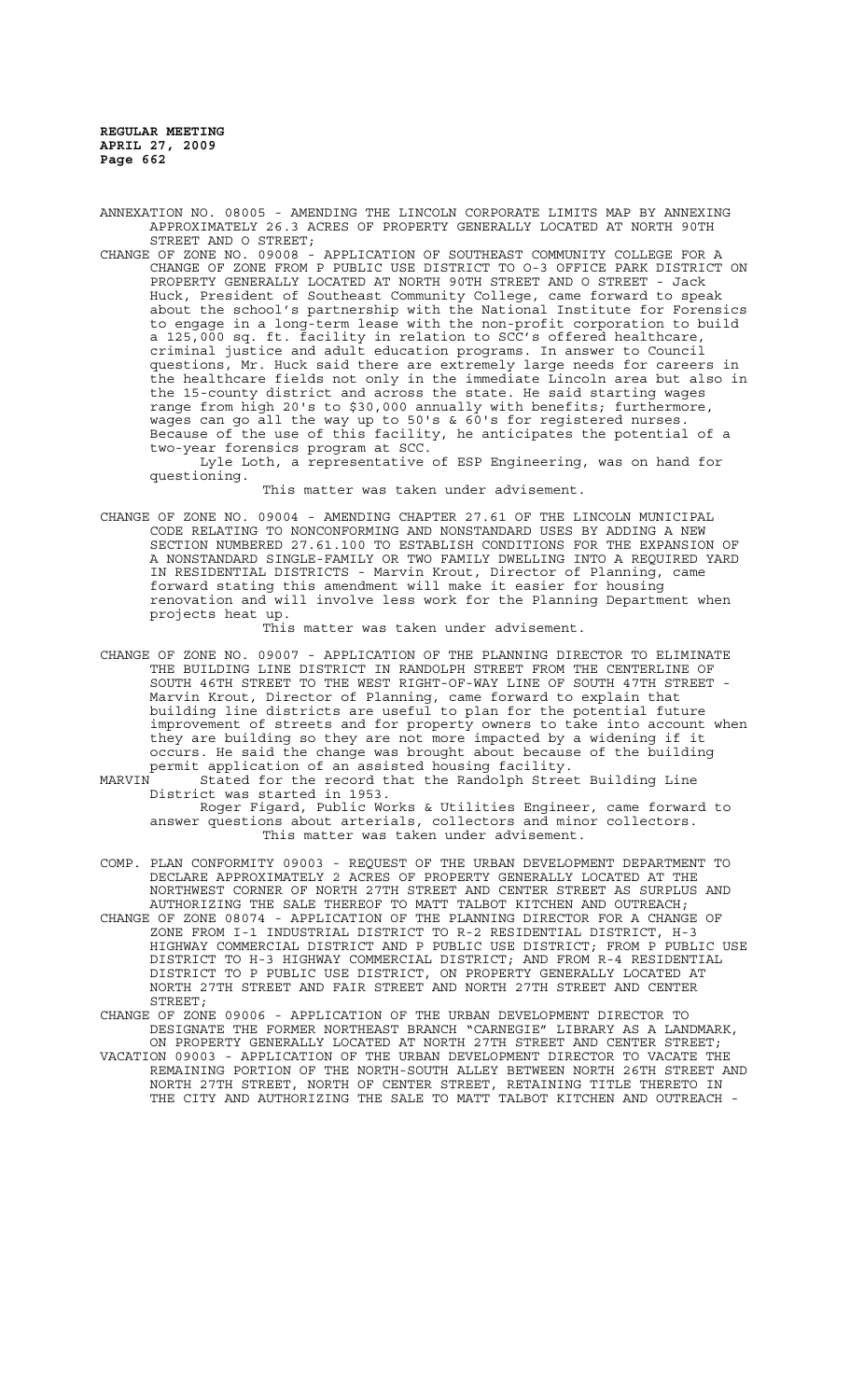ANNEXATION NO. 08005 - AMENDING THE LINCOLN CORPORATE LIMITS MAP BY ANNEXING APPROXIMATELY 26.3 ACRES OF PROPERTY GENERALLY LOCATED AT NORTH 90TH STREET AND O STREET;

CHANGE OF ZONE NO. 09008 - APPLICATION OF SOUTHEAST COMMUNITY COLLEGE FOR A CHANGE OF ZONE FROM P PUBLIC USE DISTRICT TO O-3 OFFICE PARK DISTRICT ON PROPERTY GENERALLY LOCATED AT NORTH 90TH STREET AND O STREET - Jack Huck, President of Southeast Community College, came forward to speak about the school's partnership with the National Institute for Forensics to engage in a long-term lease with the non-profit corporation to build a 125,000 sq. ft. facility in relation to SCC's offered healthcare, criminal justice and adult education programs. In answer to Council questions, Mr. Huck said there are extremely large needs for careers in the healthcare fields not only in the immediate Lincoln area but also in the 15-county district and across the state. He said starting wages range from high 20's to \$30,000 annually with benefits; furthermore, wages can go all the way up to 50's & 60's for registered nurses. Because of the use of this facility, he anticipates the potential of a two-year forensics program at SCC.

Lyle Loth, a representative of ESP Engineering, was on hand for questioning.

This matter was taken under advisement.

CHANGE OF ZONE NO. 09004 - AMENDING CHAPTER 27.61 OF THE LINCOLN MUNICIPAL CODE RELATING TO NONCONFORMING AND NONSTANDARD USES BY ADDING A NEW SECTION NUMBERED 27.61.100 TO ESTABLISH CONDITIONS FOR THE EXPANSION OF A NONSTANDARD SINGLE-FAMILY OR TWO FAMILY DWELLING INTO A REQUIRED YARD IN RESIDENTIAL DISTRICTS - Marvin Krout, Director of Planning, came forward stating this amendment will make it easier for housing renovation and will involve less work for the Planning Department when projects heat up.

This matter was taken under advisement.

- CHANGE OF ZONE NO. 09007 APPLICATION OF THE PLANNING DIRECTOR TO ELIMINATE THE BUILDING LINE DISTRICT IN RANDOLPH STREET FROM THE CENTERLINE OF SOUTH 46TH STREET TO THE WEST RIGHT-OF-WAY LINE OF SOUTH 47TH STREET Marvin Krout, Director of Planning, came forward to explain that building line districts are useful to plan for the potential future improvement of streets and for property owners to take into account when they are building so they are not more impacted by a widening if it occurs. He said the change was brought about because of the building permit application of an assisted housing facility.
- MARVIN Stated for the record that the Randolph Street Building Line District was started in 1953.
	- Roger Figard, Public Works & Utilities Engineer, came forward to answer questions about arterials, collectors and minor collectors. This matter was taken under advisement.
- COMP. PLAN CONFORMITY 09003 REQUEST OF THE URBAN DEVELOPMENT DEPARTMENT TO DECLARE APPROXIMATELY 2 ACRES OF PROPERTY GENERALLY LOCATED AT THE NORTHWEST CORNER OF NORTH 27TH STREET AND CENTER STREET AS SURPLUS AND AUTHORIZING THE SALE THEREOF TO MATT TALBOT KITCHEN AND OUTREACH;
- CHANGE OF ZONE 08074 APPLICATION OF THE PLANNING DIRECTOR FOR A CHANGE OF ZONE FROM I-1 INDUSTRIAL DISTRICT TO R-2 RESIDENTIAL DISTRICT, H-3 HIGHWAY COMMERCIAL DISTRICT AND P PUBLIC USE DISTRICT; FROM P PUBLIC USE DISTRICT TO H-3 HIGHWAY COMMERCIAL DISTRICT; AND FROM R-4 RESIDENTIAL DISTRICT TO P PUBLIC USE DISTRICT, ON PROPERTY GENERALLY LOCATED AT NORTH 27TH STREET AND FAIR STREET AND NORTH 27TH STREET AND CENTER STREET;

CHANGE OF ZONE 09006 - APPLICATION OF THE URBAN DEVELOPMENT DIRECTOR TO DESIGNATE THE FORMER NORTHEAST BRANCH "CARNEGIE" LIBRARY AS A LANDMARK, ON PROPERTY GENERALLY LOCATED AT NORTH 27TH STREET AND CENTER STREET;

VACATION 09003 - APPLICATION OF THE URBAN DEVELOPMENT DIRECTOR TO VACATE THE REMAINING PORTION OF THE NORTH-SOUTH ALLEY BETWEEN NORTH 26TH STREET AND NORTH 27TH STREET, NORTH OF CENTER STREET, RETAINING TITLE THERETO IN THE CITY AND AUTHORIZING THE SALE TO MATT TALBOT KITCHEN AND OUTREACH -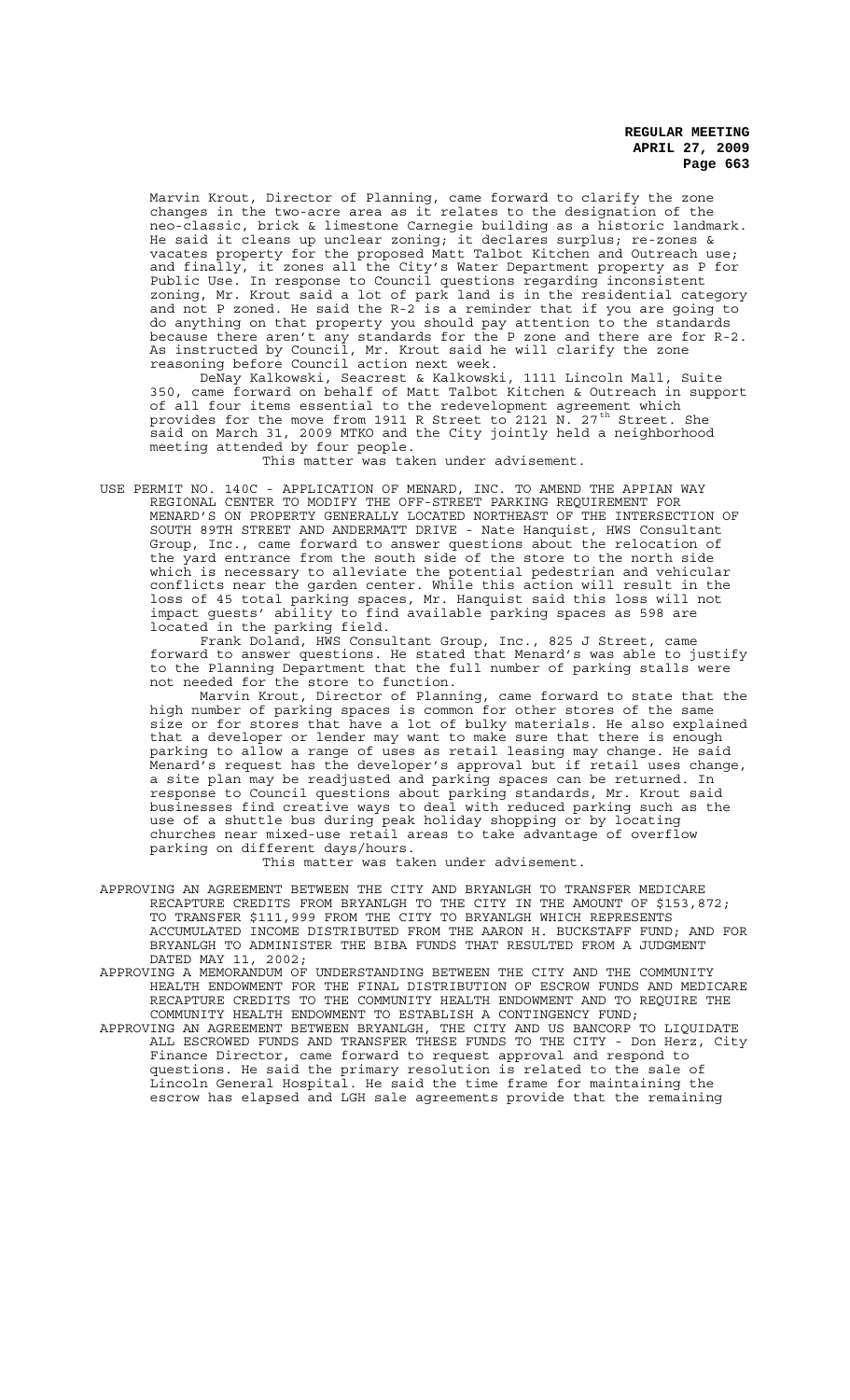Marvin Krout, Director of Planning, came forward to clarify the zone changes in the two-acre area as it relates to the designation of the neo-classic, brick & limestone Carnegie building as a historic landmark. He said it cleans up unclear zoning; it declares surplus; re-zones & vacates property for the proposed Matt Talbot Kitchen and Outreach use; and finally, it zones all the City's Water Department property as P for Public Use. In response to Council questions regarding inconsistent zoning, Mr. Krout said a lot of park land is in the residential category and not P zoned. He said the R-2 is a reminder that if you are going to do anything on that property you should pay attention to the standards because there aren't any standards for the P zone and there are for R-2. As instructed by Council, Mr. Krout said he will clarify the zone reasoning before Council action next week.

DeNay Kalkowski, Seacrest & Kalkowski, 1111 Lincoln Mall, Suite 350, came forward on behalf of Matt Talbot Kitchen & Outreach in support of all four items essential to the redevelopment agreement which provides for the move from 1911 R Street to 2121 N. 27<sup>th</sup> Street. She said on March 31, 2009 MTKO and the City jointly held a neighborhood meeting attended by four people.

This matter was taken under advisement.

USE PERMIT NO. 140C - APPLICATION OF MENARD, INC. TO AMEND THE APPIAN WAY REGIONAL CENTER TO MODIFY THE OFF-STREET PARKING REQUIREMENT FOR MENARD'S ON PROPERTY GENERALLY LOCATED NORTHEAST OF THE INTERSECTION OF SOUTH 89TH STREET AND ANDERMATT DRIVE - Nate Hanquist, HWS Consultant Group, Inc., came forward to answer questions about the relocation of the yard entrance from the south side of the store to the north side which is necessary to alleviate the potential pedestrian and vehicular conflicts near the garden center. While this action will result in the loss of 45 total parking spaces, Mr. Hanquist said this loss will not impact guests' ability to find available parking spaces as 598 are located in the parking field.

Frank Doland, HWS Consultant Group, Inc., 825 J Street, came forward to answer questions. He stated that Menard's was able to justify to the Planning Department that the full number of parking stalls were not needed for the store to function.

Marvin Krout, Director of Planning, came forward to state that the high number of parking spaces is common for other stores of the same size or for stores that have a lot of bulky materials. He also explained that a developer or lender may want to make sure that there is enough parking to allow a range of uses as retail leasing may change. He said .<br>Menard's request has the developer's approval but if retail uses change, a site plan may be readjusted and parking spaces can be returned. In response to Council questions about parking standards, Mr. Krout said businesses find creative ways to deal with reduced parking such as the use of a shuttle bus during peak holiday shopping or by locating churches near mixed-use retail areas to take advantage of overflow parking on different days/hours.

This matter was taken under advisement.

- APPROVING AN AGREEMENT BETWEEN THE CITY AND BRYANLGH TO TRANSFER MEDICARE RECAPTURE CREDITS FROM BRYANLGH TO THE CITY IN THE AMOUNT OF \$153,872; TO TRANSFER \$111,999 FROM THE CITY TO BRYANLGH WHICH REPRESENTS ACCUMULATED INCOME DISTRIBUTED FROM THE AARON H. BUCKSTAFF FUND; AND FOR BRYANLGH TO ADMINISTER THE BIBA FUNDS THAT RESULTED FROM A JUDGMENT DATED MAY 11, 2002;
- APPROVING A MEMORANDUM OF UNDERSTANDING BETWEEN THE CITY AND THE COMMUNITY HEALTH ENDOWMENT FOR THE FINAL DISTRIBUTION OF ESCROW FUNDS AND MEDICARE RECAPTURE CREDITS TO THE COMMUNITY HEALTH ENDOWMENT AND TO REQUIRE THE COMMUNITY HEALTH ENDOWMENT TO ESTABLISH A CONTINGENCY FUND;
- APPROVING AN AGREEMENT BETWEEN BRYANLGH, THE CITY AND US BANCORP TO LIQUIDATE ALL ESCROWED FUNDS AND TRANSFER THESE FUNDS TO THE CITY - Don Herz, City Finance Director, came forward to request approval and respond to questions. He said the primary resolution is related to the sale of Lincoln General Hospital. He said the time frame for maintaining the escrow has elapsed and LGH sale agreements provide that the remaining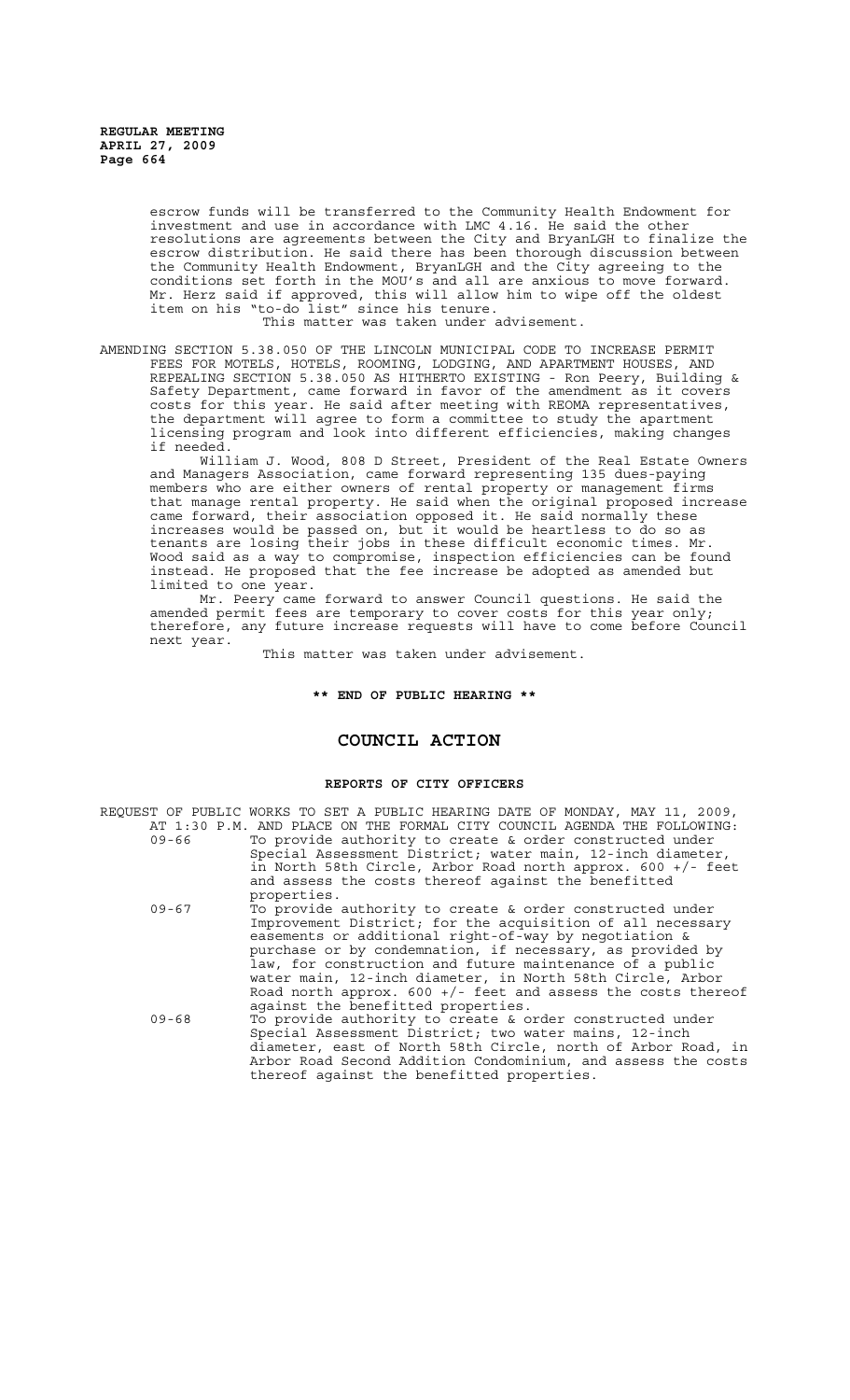escrow funds will be transferred to the Community Health Endowment for investment and use in accordance with LMC 4.16. He said the other resolutions are agreements between the City and BryanLGH to finalize the escrow distribution. He said there has been thorough discussion between the Community Health Endowment, BryanLGH and the City agreeing to the conditions set forth in the MOU's and all are anxious to move forward. Mr. Herz said if approved, this will allow him to wipe off the oldest item on his "to-do list" since his tenure.

This matter was taken under advisement.

AMENDING SECTION 5.38.050 OF THE LINCOLN MUNICIPAL CODE TO INCREASE PERMIT FEES FOR MOTELS, HOTELS, ROOMING, LODGING, AND APARTMENT HOUSES, AND REPEALING SECTION 5.38.050 AS HITHERTO EXISTING - Ron Peery, Building & Safety Department, came forward in favor of the amendment as it covers costs for this year. He said after meeting with REOMA representatives, the department will agree to form a committee to study the apartment licensing program and look into different efficiencies, making changes if needed.

William J. Wood, 808 D Street, President of the Real Estate Owners and Managers Association, came forward representing 135 dues-paying members who are either owners of rental property or management firms that manage rental property. He said when the original proposed increase came forward, their association opposed it. He said normally these increases would be passed on, but it would be heartless to do so as tenants are losing their jobs in these difficult economic times. Mr. Wood said as a way to compromise, inspection efficiencies can be found instead. He proposed that the fee increase be adopted as amended but limited to one year.

Mr. Peery came forward to answer Council questions. He said the amended permit fees are temporary to cover costs for this year only; therefore, any future increase requests will have to come before Council next year.

This matter was taken under advisement.

# **\*\* END OF PUBLIC HEARING \*\***

# **COUNCIL ACTION**

# **REPORTS OF CITY OFFICERS**

|           | REQUEST OF PUBLIC WORKS TO SET A PUBLIC HEARING DATE OF MONDAY, MAY 11, 2009, |
|-----------|-------------------------------------------------------------------------------|
|           | AT 1:30 P.M. AND PLACE ON THE FORMAL CITY COUNCIL AGENDA THE FOLLOWING:       |
| 09-66     | To provide authority to create & order constructed under                      |
|           | Special Assessment District; water main, 12-inch diameter,                    |
|           | in North 58th Circle, Arbor Road north approx. $600 +/-$ feet                 |
|           | and assess the costs thereof against the benefitted                           |
|           | properties.                                                                   |
| $09 - 67$ | To provide authority to create & order constructed under                      |
|           | Improvement District; for the acquisition of all necessary                    |
|           | easements or additional right-of-way by negotiation &                         |
|           | purchase or by condemnation, if necessary, as provided by                     |
|           | law, for construction and future maintenance of a public                      |
|           | water main, 12-inch diameter, in North 58th Circle, Arbor                     |
|           | Road north approx. $600 +/-$ feet and assess the costs thereof                |
|           | against the benefitted properties.                                            |
| $09 - 68$ | To provide authority to create & order constructed under                      |
|           | Special Assessment District; two water mains, 12-inch                         |
|           | diameter, east of North 58th Circle, north of Arbor Road, in                  |
|           | Arbor Road Second Addition Condominium, and assess the costs                  |
|           | thereof against the benefitted properties.                                    |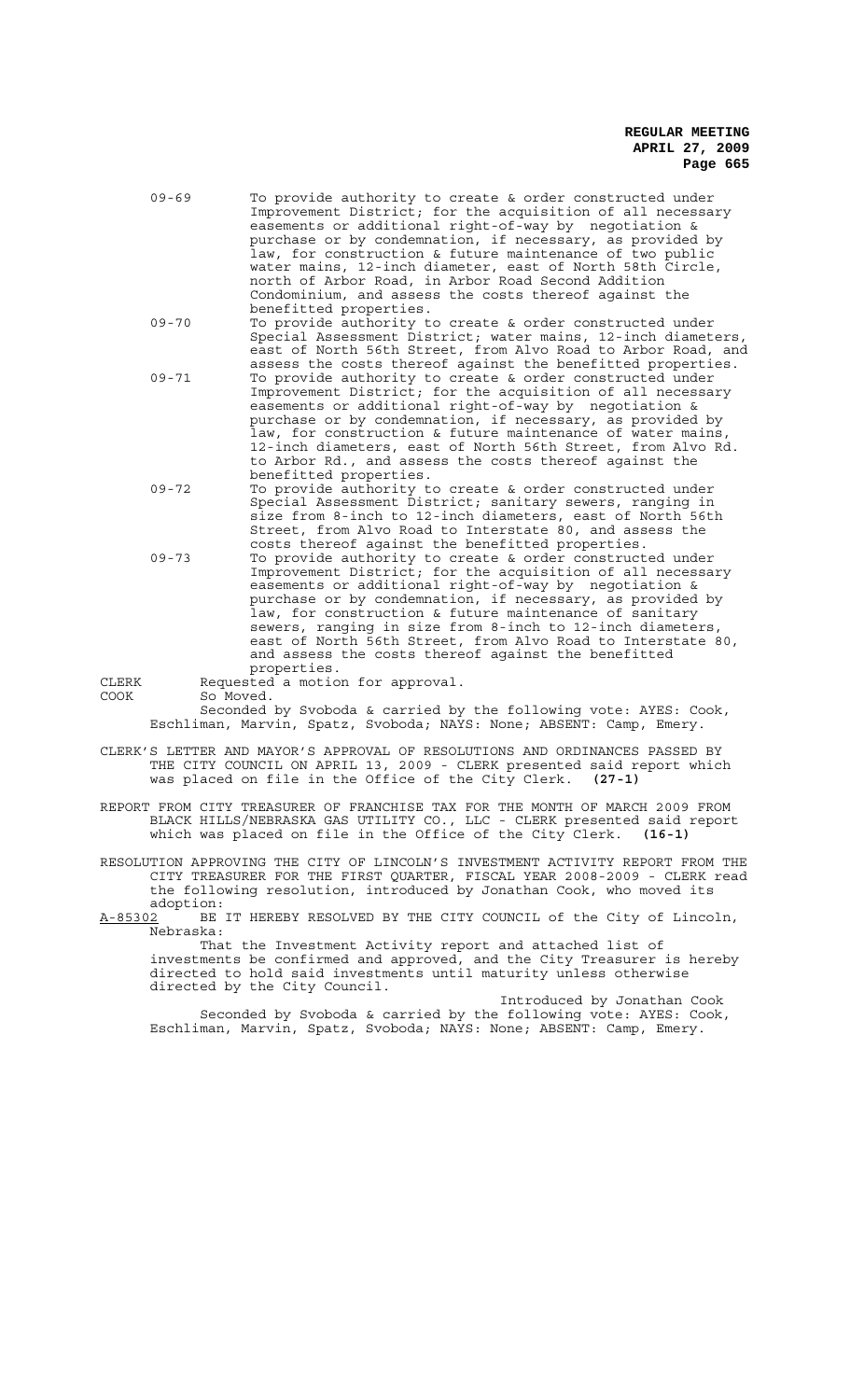- 09-69 To provide authority to create & order constructed under Improvement District; for the acquisition of all necessary easements or additional right-of-way by negotiation & purchase or by condemnation, if necessary, as provided by law, for construction & future maintenance of two public water mains, 12-inch diameter, east of North 58th Circle, north of Arbor Road, in Arbor Road Second Addition Condominium, and assess the costs thereof against the benefitted properties.
- 09-70 To provide authority to create & order constructed under Special Assessment District; water mains, 12-inch diameters, east of North 56th Street, from Alvo Road to Arbor Road, and assess the costs thereof against the benefitted properties. 09-71 To provide authority to create & order constructed under Improvement District; for the acquisition of all necessary easements or additional right-of-way by negotiation & purchase or by condemnation, if necessary, as provided by law, for construction & future maintenance of water mains,
- 12-inch diameters, east of North 56th Street, from Alvo Rd. to Arbor Rd., and assess the costs thereof against the benefitted properties. 09-72 To provide authority to create & order constructed under Special Assessment District; sanitary sewers, ranging in size from 8-inch to 12-inch diameters, east of North 56th Street, from Alvo Road to Interstate 80, and assess the
- costs thereof against the benefitted properties.
- 09-73 To provide authority to create & order constructed under Improvement District; for the acquisition of all necessary easements or additional right-of-way by negotiation & purchase or by condemnation, if necessary, as provided by law, for construction & future maintenance of sanitary sewers, ranging in size from 8-inch to 12-inch diameters, east of North 56th Street, from Alvo Road to Interstate 80, and assess the costs thereof against the benefitted properties.

CLERK Requested a motion for approval.<br>COOK So Moved. So Moved.

> Seconded by Svoboda & carried by the following vote: AYES: Cook, Eschliman, Marvin, Spatz, Svoboda; NAYS: None; ABSENT: Camp, Emery.

- CLERK'S LETTER AND MAYOR'S APPROVAL OF RESOLUTIONS AND ORDINANCES PASSED BY THE CITY COUNCIL ON APRIL 13, 2009 - CLERK presented said report which was placed on file in the Office of the City Clerk. **(27-1)**
- REPORT FROM CITY TREASURER OF FRANCHISE TAX FOR THE MONTH OF MARCH 2009 FROM BLACK HILLS/NEBRASKA GAS UTILITY CO., LLC - CLERK presented said report which was placed on file in the Office of the City Clerk. **(16-1)**
- RESOLUTION APPROVING THE CITY OF LINCOLN'S INVESTMENT ACTIVITY REPORT FROM THE CITY TREASURER FOR THE FIRST QUARTER, FISCAL YEAR 2008-2009 - CLERK read the following resolution, introduced by Jonathan Cook, who moved its

adoption:<br><u>A-85302</u> BE BE IT HEREBY RESOLVED BY THE CITY COUNCIL of the City of Lincoln, Nebraska:

That the Investment Activity report and attached list of investments be confirmed and approved, and the City Treasurer is hereby directed to hold said investments until maturity unless otherwise directed by the City Council.

Introduced by Jonathan Cook Seconded by Svoboda & carried by the following vote: AYES: Cook, Eschliman, Marvin, Spatz, Svoboda; NAYS: None; ABSENT: Camp, Emery.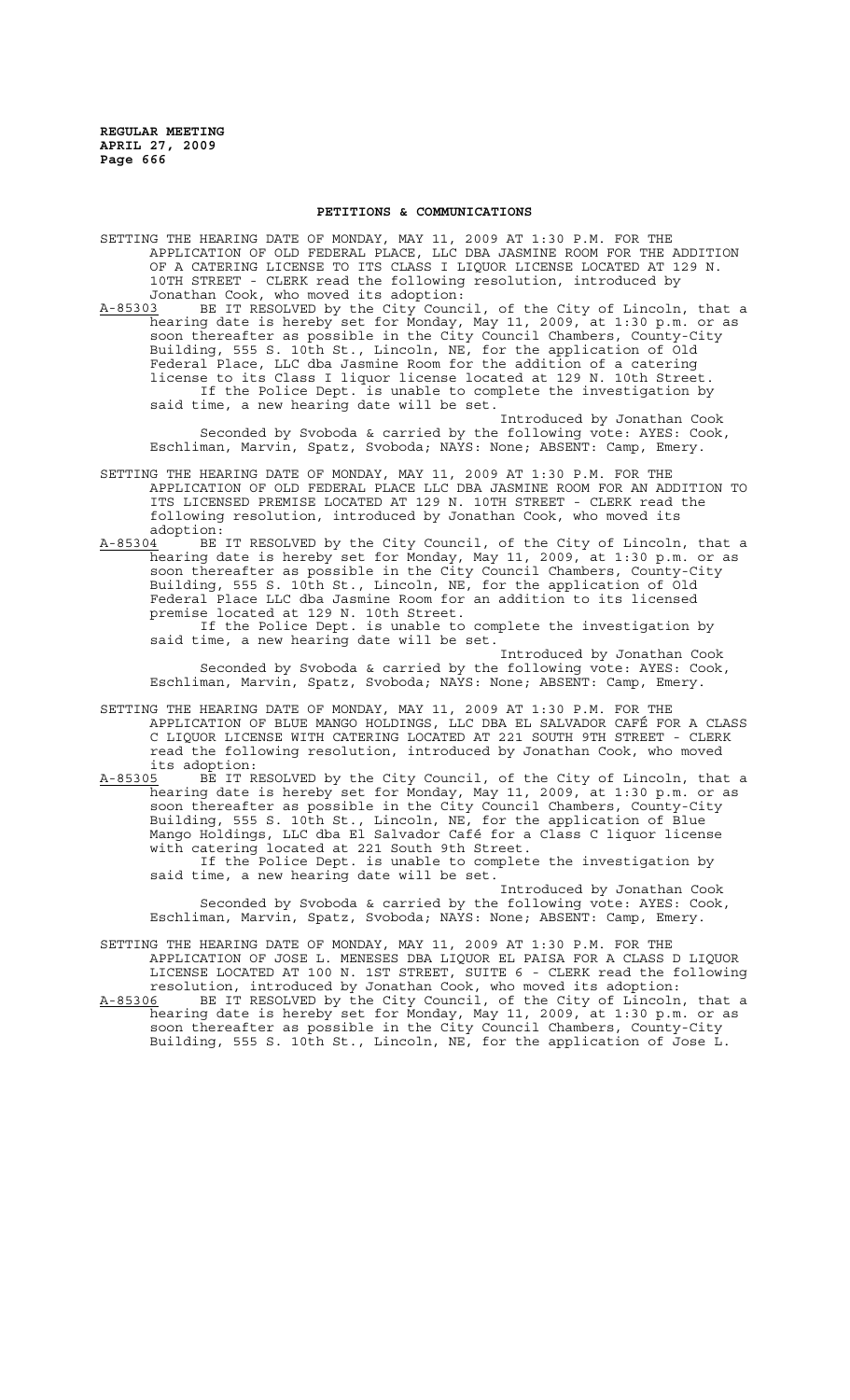## **PETITIONS & COMMUNICATIONS**

SETTING THE HEARING DATE OF MONDAY, MAY 11, 2009 AT 1:30 P.M. FOR THE APPLICATION OF OLD FEDERAL PLACE, LLC DBA JASMINE ROOM FOR THE ADDITION OF A CATERING LICENSE TO ITS CLASS I LIQUOR LICENSE LOCATED AT 129 N. 10TH STREET - CLERK read the following resolution, introduced by Jonathan Cook, who moved its adoption:<br>A-85303 BE IT RESOLVED by the City Counc

BE IT RESOLVED by the City Council, of the City of Lincoln, that a hearing date is hereby set for Monday, May 11, 2009, at 1:30 p.m. or as soon thereafter as possible in the City Council Chambers, County-City Building, 555 S. 10th St., Lincoln, NE, for the application of Old Federal Place, LLC dba Jasmine Room for the addition of a catering license to its Class I liquor license located at 129 N. 10th Street. If the Police Dept. is unable to complete the investigation by said time, a new hearing date will be set.

Introduced by Jonathan Cook Seconded by Svoboda & carried by the following vote: AYES: Cook, Eschliman, Marvin, Spatz, Svoboda; NAYS: None; ABSENT: Camp, Emery.

- SETTING THE HEARING DATE OF MONDAY, MAY 11, 2009 AT 1:30 P.M. FOR THE APPLICATION OF OLD FEDERAL PLACE LLC DBA JASMINE ROOM FOR AN ADDITION TO ITS LICENSED PREMISE LOCATED AT 129 N. 10TH STREET - CLERK read the following resolution, introduced by Jonathan Cook, who moved its
- adoption:<br><u>A-85304</u> BE A-85304 BE IT RESOLVED by the City Council, of the City of Lincoln, that a hearing date is hereby set for Monday, May 11, 2009, at 1:30 p.m. or as soon thereafter as possible in the City Council Chambers, County-City Building, 555 S. 10th St., Lincoln, NE, for the application of Old Federal Place LLC dba Jasmine Room for an addition to its licensed premise located at 129 N. 10th Street.

If the Police Dept. is unable to complete the investigation by said time, a new hearing date will be set.

Introduced by Jonathan Cook Seconded by Svoboda & carried by the following vote: AYES: Cook, Eschliman, Marvin, Spatz, Svoboda; NAYS: None; ABSENT: Camp, Emery.

- SETTING THE HEARING DATE OF MONDAY, MAY 11, 2009 AT 1:30 P.M. FOR THE APPLICATION OF BLUE MANGO HOLDINGS, LLC DBA EL SALVADOR CAFÉ FOR A CLASS C LIQUOR LICENSE WITH CATERING LOCATED AT 221 SOUTH 9TH STREET - CLERK read the following resolution, introduced by Jonathan Cook, who moved its adoption:<br>A-85305 BE IT R
- BE IT RESOLVED by the City Council, of the City of Lincoln, that a hearing date is hereby set for Monday, May 11, 2009, at 1:30 p.m. or as soon thereafter as possible in the City Council Chambers, County-City Building, 555 S. 10th St., Lincoln, NE, for the application of Blue Mango Holdings, LLC dba El Salvador Café for a Class C liquor license with catering located at 221 South 9th Street.

If the Police Dept. is unable to complete the investigation by said time, a new hearing date will be set.

Introduced by Jonathan Cook Seconded by Svoboda & carried by the following vote: AYES: Cook, Eschliman, Marvin, Spatz, Svoboda; NAYS: None; ABSENT: Camp, Emery.

SETTING THE HEARING DATE OF MONDAY, MAY 11, 2009 AT 1:30 P.M. FOR THE APPLICATION OF JOSE L. MENESES DBA LIQUOR EL PAISA FOR A CLASS D LIQUOR LICENSE LOCATED AT 100 N. 1ST STREET, SUITE 6 - CLERK read the following resolution, introduced by Jonathan Cook, who moved its adoption:

A-85306 BE IT RESOLVED by the City Council, of the City of Lincoln, that a hearing date is hereby set for Monday, May 11, 2009, at 1:30 p.m. or as soon thereafter as possible in the City Council Chambers, County-City Building, 555 S. 10th St., Lincoln, NE, for the application of Jose L.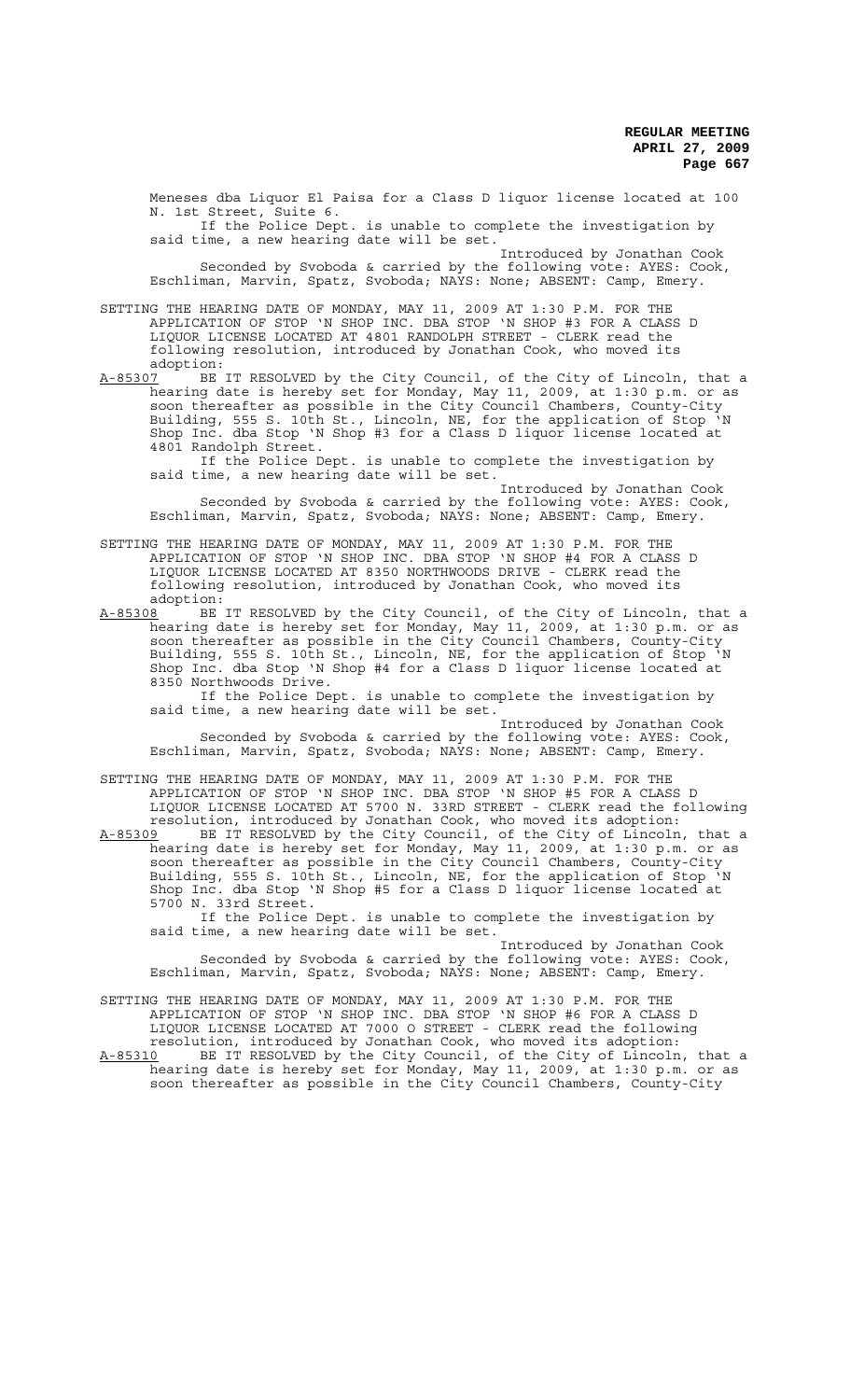Meneses dba Liquor El Paisa for a Class D liquor license located at 100 N. 1st Street, Suite 6.

If the Police Dept. is unable to complete the investigation by said time, a new hearing date will be set.

Introduced by Jonathan Cook Seconded by Svoboda & carried by the following vote: AYES: Cook, Eschliman, Marvin, Spatz, Svoboda; NAYS: None; ABSENT: Camp, Emery.

SETTING THE HEARING DATE OF MONDAY, MAY 11, 2009 AT 1:30 P.M. FOR THE APPLICATION OF STOP 'N SHOP INC. DBA STOP 'N SHOP #3 FOR A CLASS D LIQUOR LICENSE LOCATED AT 4801 RANDOLPH STREET - CLERK read the following resolution, introduced by Jonathan Cook, who moved its

adoption:<br>A-85307 BE A-85307 BE IT RESOLVED by the City Council, of the City of Lincoln, that a hearing date is hereby set for Monday, May 11, 2009, at 1:30 p.m. or as soon thereafter as possible in the City Council Chambers, County-City Building, 555 S. 10th St., Lincoln, NE, for the application of Stop 'N Shop Inc. dba Stop 'N Shop #3 for a Class D liquor license located at 4801 Randolph Street.

If the Police Dept. is unable to complete the investigation by said time, a new hearing date will be set.

Introduced by Jonathan Cook Seconded by Svoboda & carried by the following vote: AYES: Cook, Eschliman, Marvin, Spatz, Svoboda; NAYS: None; ABSENT: Camp, Emery.

SETTING THE HEARING DATE OF MONDAY, MAY 11, 2009 AT 1:30 P.M. FOR THE APPLICATION OF STOP 'N SHOP INC. DBA STOP 'N SHOP #4 FOR A CLASS D LIQUOR LICENSE LOCATED AT 8350 NORTHWOODS DRIVE - CLERK read the following resolution, introduced by Jonathan Cook, who moved its adoption:

A-85308 BE IT RESOLVED by the City Council, of the City of Lincoln, that a hearing date is hereby set for Monday, May 11, 2009, at 1:30 p.m. or as soon thereafter as possible in the City Council Chambers, County-City Building, 555 S. 10th St., Lincoln, NE, for the application of Stop 'N Shop Inc. dba Stop 'N Shop #4 for a Class D liquor license located at 8350 Northwoods Drive.<br>If the Police Dept. is unable to complete the investigation by

If the Police Dept. is unable to complete the investigation by said time, a new hearing date will be set.

Introduced by Jonathan Cook Seconded by Svoboda & carried by the following vote: AYES: Cook, Eschliman, Marvin, Spatz, Svoboda; NAYS: None; ABSENT: Camp, Emery.

SETTING THE HEARING DATE OF MONDAY, MAY 11, 2009 AT 1:30 P.M. FOR THE APPLICATION OF STOP 'N SHOP INC. DBA STOP 'N SHOP #5 FOR A CLASS D LIQUOR LICENSE LOCATED AT 5700 N. 33RD STREET - CLERK read the following

resolution, introduced by Jonathan Cook, who moved its adoption: A-85309 BE IT RESOLVED by the City Council, of the City of Lincoln, that a hearing date is hereby set for Monday, May 11, 2009, at 1:30 p.m. or as soon thereafter as possible in the City Council Chambers, County-City Building, 555 S. 10th St., Lincoln, NE, for the application of Stop 'N Shop Inc. dba Stop 'N Shop #5 for a Class D liquor license located at 5700 N. 33rd Street.

If the Police Dept. is unable to complete the investigation by said time, a new hearing date will be set.

Introduced by Jonathan Cook Seconded by Svoboda & carried by the following vote: AYES: Cook, Eschliman, Marvin, Spatz, Svoboda; NAYS: None; ABSENT: Camp, Emery.

SETTING THE HEARING DATE OF MONDAY, MAY 11, 2009 AT 1:30 P.M. FOR THE APPLICATION OF STOP 'N SHOP INC. DBA STOP 'N SHOP #6 FOR A CLASS D LIQUOR LICENSE LOCATED AT 7000 O STREET - CLERK read the following resolution, introduced by Jonathan Cook, who moved its adoption: A-85310 BE IT RESOLVED by the City Council, of the City of Lincoln, that a hearing date is hereby set for Monday, May 11, 2009, at 1:30 p.m. or as soon thereafter as possible in the City Council Chambers, County-City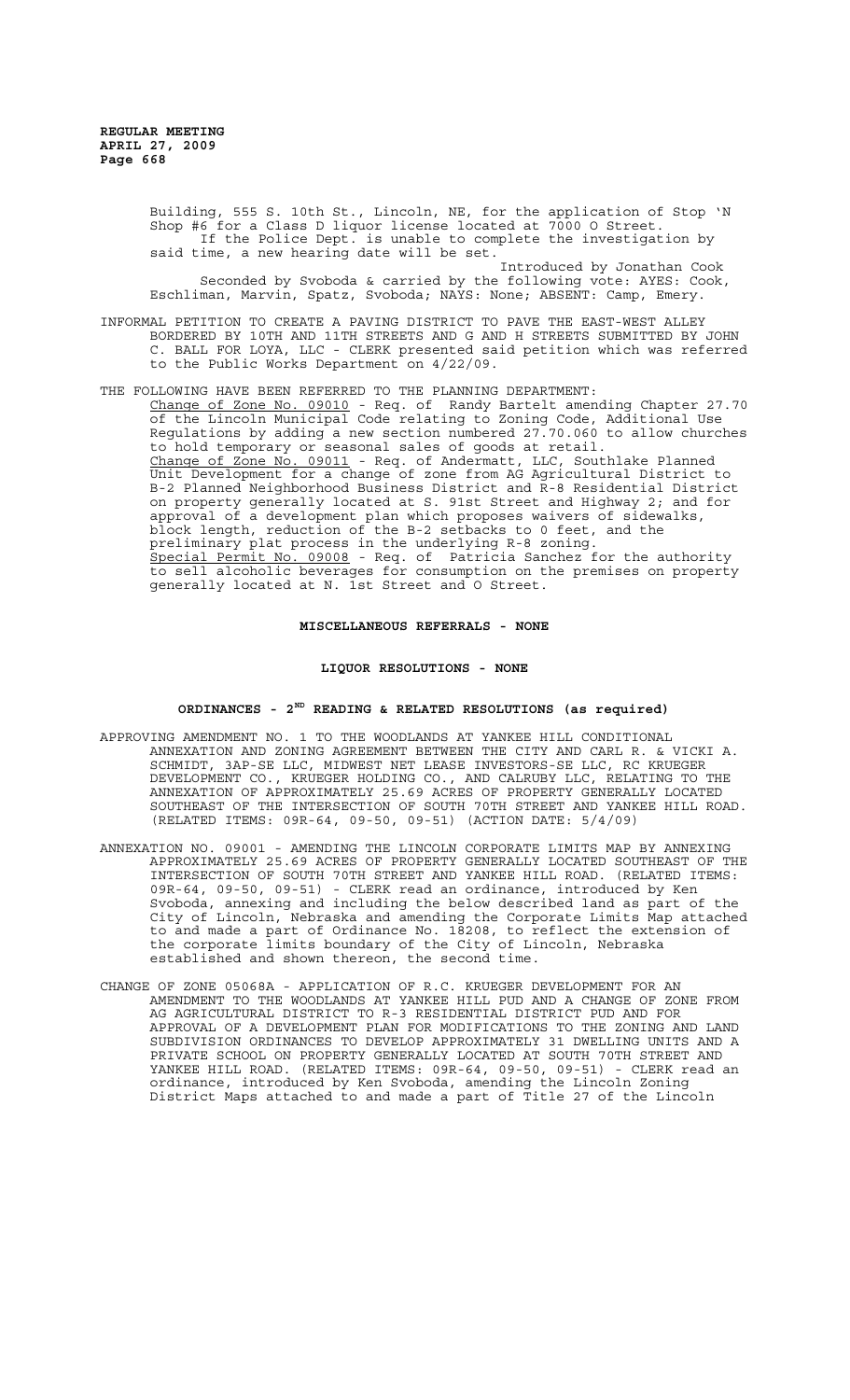Building, 555 S. 10th St., Lincoln, NE, for the application of Stop 'N Shop #6 for a Class D liquor license located at 7000 O Street. If the Police Dept. is unable to complete the investigation by said time, a new hearing date will be set. Introduced by Jonathan Cook Seconded by Svoboda & carried by the following vote: AYES: Cook, Eschliman, Marvin, Spatz, Svoboda; NAYS: None; ABSENT: Camp, Emery.

- INFORMAL PETITION TO CREATE A PAVING DISTRICT TO PAVE THE EAST-WEST ALLEY BORDERED BY 10TH AND 11TH STREETS AND G AND H STREETS SUBMITTED BY JOHN C. BALL FOR LOYA, LLC - CLERK presented said petition which was referred to the Public Works Department on 4/22/09.
- THE FOLLOWING HAVE BEEN REFERRED TO THE PLANNING DEPARTMENT: Change of Zone No. 09010 - Req. of Randy Bartelt amending Chapter 27.70 of the Lincoln Municipal Code relating to Zoning Code, Additional Use Regulations by adding a new section numbered 27.70.060 to allow churches to hold temporary or seasonal sales of goods at retail. Change of Zone No. 09011 - Req. of Andermatt, LLC, Southlake Planned Unit Development for a change of zone from AG Agricultural District to B-2 Planned Neighborhood Business District and R-8 Residential District on property generally located at S. 91st Street and Highway 2; and for approval of a development plan which proposes waivers of sidewalks, block length, reduction of the B-2 setbacks to 0 feet, and the preliminary plat process in the underlying R-8 zoning. Special Permit No. 09008 - Req. of Patricia Sanchez for the authority to sell alcoholic beverages for consumption on the premises on property generally located at N. 1st Street and O Street.

## **MISCELLANEOUS REFERRALS - NONE**

#### **LIQUOR RESOLUTIONS - NONE**

## **ORDINANCES - 2ND READING & RELATED RESOLUTIONS (as required)**

- APPROVING AMENDMENT NO. 1 TO THE WOODLANDS AT YANKEE HILL CONDITIONAL ANNEXATION AND ZONING AGREEMENT BETWEEN THE CITY AND CARL R. & VICKI A. SCHMIDT, 3AP-SE LLC, MIDWEST NET LEASE INVESTORS-SE LLC, RC KRUEGER DEVELOPMENT CO., KRUEGER HOLDING CO., AND CALRUBY LLC, RELATING TO THE ANNEXATION OF APPROXIMATELY 25.69 ACRES OF PROPERTY GENERALLY LOCATED SOUTHEAST OF THE INTERSECTION OF SOUTH 70TH STREET AND YANKEE HILL ROAD. (RELATED ITEMS: 09R-64, 09-50, 09-51) (ACTION DATE: 5/4/09)
- ANNEXATION NO. 09001 AMENDING THE LINCOLN CORPORATE LIMITS MAP BY ANNEXING APPROXIMATELY 25.69 ACRES OF PROPERTY GENERALLY LOCATED SOUTHEAST OF THE INTERSECTION OF SOUTH 70TH STREET AND YANKEE HILL ROAD. (RELATED ITEMS: 09R-64, 09-50, 09-51) - CLERK read an ordinance, introduced by Ken Svoboda, annexing and including the below described land as part of the City of Lincoln, Nebraska and amending the Corporate Limits Map attached to and made a part of Ordinance No. 18208, to reflect the extension of the corporate limits boundary of the City of Lincoln, Nebraska established and shown thereon, the second time.
- CHANGE OF ZONE 05068A APPLICATION OF R.C. KRUEGER DEVELOPMENT FOR AN AMENDMENT TO THE WOODLANDS AT YANKEE HILL PUD AND A CHANGE OF ZONE FROM AG AGRICULTURAL DISTRICT TO R-3 RESIDENTIAL DISTRICT PUD AND FOR APPROVAL OF A DEVELOPMENT PLAN FOR MODIFICATIONS TO THE ZONING AND LAND SUBDIVISION ORDINANCES TO DEVELOP APPROXIMATELY 31 DWELLING UNITS AND A PRIVATE SCHOOL ON PROPERTY GENERALLY LOCATED AT SOUTH 70TH STREET AND YANKEE HILL ROAD. (RELATED ITEMS: 09R-64, 09-50, 09-51) - CLERK read an ordinance, introduced by Ken Svoboda, amending the Lincoln Zoning District Maps attached to and made a part of Title 27 of the Lincoln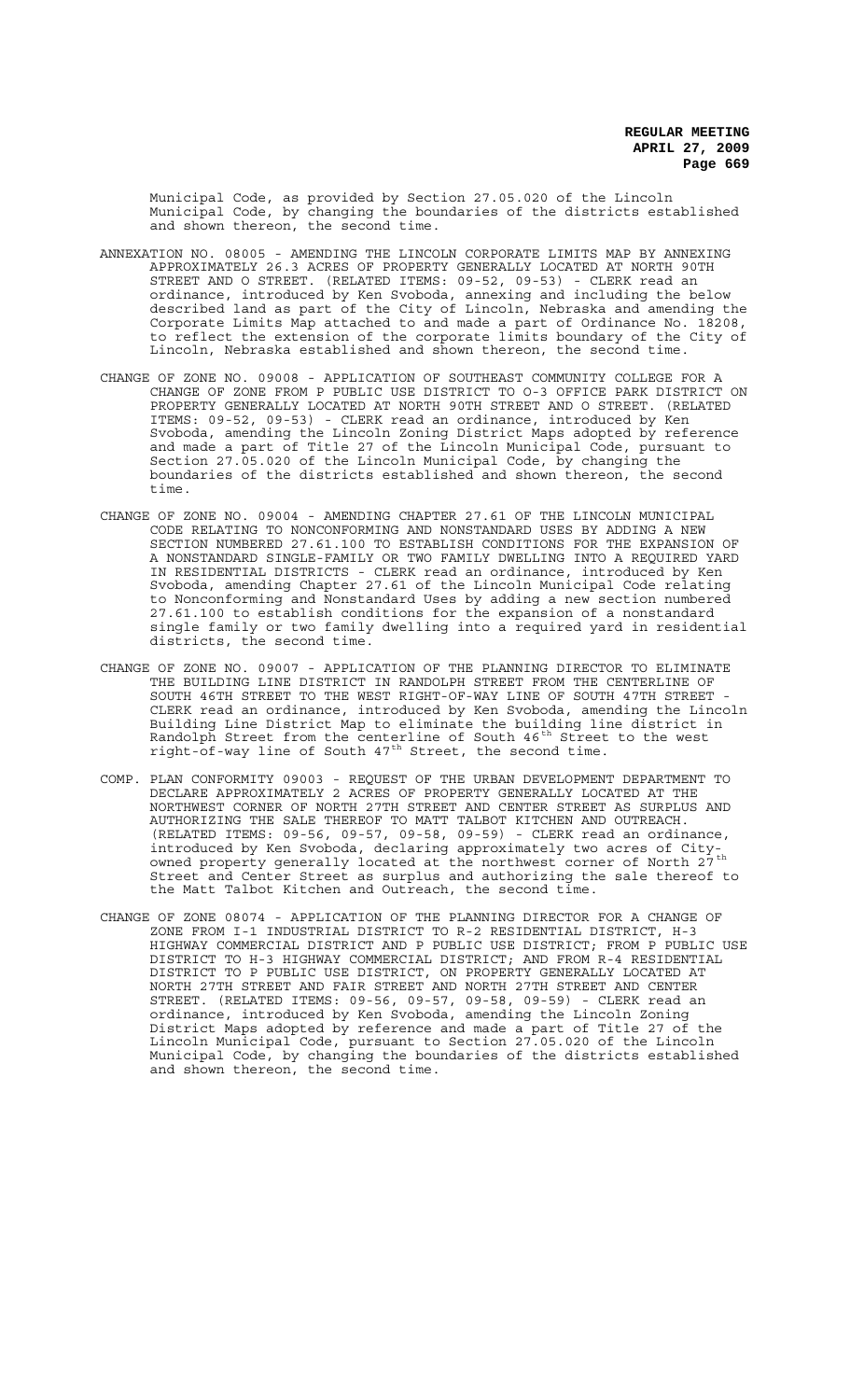Municipal Code, as provided by Section 27.05.020 of the Lincoln Municipal Code, by changing the boundaries of the districts established and shown thereon, the second time.

- ANNEXATION NO. 08005 AMENDING THE LINCOLN CORPORATE LIMITS MAP BY ANNEXING APPROXIMATELY 26.3 ACRES OF PROPERTY GENERALLY LOCATED AT NORTH 90TH STREET AND O STREET. (RELATED ITEMS: 09-52, 09-53) - CLERK read an ordinance, introduced by Ken Svoboda, annexing and including the below described land as part of the City of Lincoln, Nebraska and amending the Corporate Limits Map attached to and made a part of Ordinance No. 18208, to reflect the extension of the corporate limits boundary of the City of Lincoln, Nebraska established and shown thereon, the second time.
- CHANGE OF ZONE NO. 09008 APPLICATION OF SOUTHEAST COMMUNITY COLLEGE FOR A CHANGE OF ZONE FROM P PUBLIC USE DISTRICT TO O-3 OFFICE PARK DISTRICT ON PROPERTY GENERALLY LOCATED AT NORTH 90TH STREET AND O STREET. (RELATED ITEMS: 09-52, 09-53) - CLERK read an ordinance, introduced by Ken Svoboda, amending the Lincoln Zoning District Maps adopted by reference and made a part of Title 27 of the Lincoln Municipal Code, pursuant to Section 27.05.020 of the Lincoln Municipal Code, by changing the boundaries of the districts established and shown thereon, the second time.
- CHANGE OF ZONE NO. 09004 AMENDING CHAPTER 27.61 OF THE LINCOLN MUNICIPAL CODE RELATING TO NONCONFORMING AND NONSTANDARD USES BY ADDING A NEW SECTION NUMBERED 27.61.100 TO ESTABLISH CONDITIONS FOR THE EXPANSION OF A NONSTANDARD SINGLE-FAMILY OR TWO FAMILY DWELLING INTO A REQUIRED YARD IN RESIDENTIAL DISTRICTS - CLERK read an ordinance, introduced by Ken Svoboda, amending Chapter 27.61 of the Lincoln Municipal Code relating to Nonconforming and Nonstandard Uses by adding a new section numbered 27.61.100 to establish conditions for the expansion of a nonstandard single family or two family dwelling into a required yard in residential districts, the second time.
- CHANGE OF ZONE NO. 09007 APPLICATION OF THE PLANNING DIRECTOR TO ELIMINATE THE BUILDING LINE DISTRICT IN RANDOLPH STREET FROM THE CENTERLINE OF SOUTH 46TH STREET TO THE WEST RIGHT-OF-WAY LINE OF SOUTH 47TH STREET - CLERK read an ordinance, introduced by Ken Svoboda, amending the Lincoln Building Line District Map to eliminate the building line district in Randolph Street from the centerline of South 46<sup>th</sup> Street to the west right-of-way line of South  $47^{\text{th}}$  Street, the second time.
- COMP. PLAN CONFORMITY 09003 REQUEST OF THE URBAN DEVELOPMENT DEPARTMENT TO DECLARE APPROXIMATELY 2 ACRES OF PROPERTY GENERALLY LOCATED AT THE NORTHWEST CORNER OF NORTH 27TH STREET AND CENTER STREET AS SURPLUS AND AUTHORIZING THE SALE THEREOF TO MATT TALBOT KITCHEN AND OUTREACH. (RELATED ITEMS: 09-56, 09-57, 09-58, 09-59) - CLERK read an ordinance, introduced by Ken Svoboda, declaring approximately two acres of Cityowned property generally located at the northwest corner of North 27<sup>th</sup> Street and Center Street as surplus and authorizing the sale thereof to the Matt Talbot Kitchen and Outreach, the second time.
- CHANGE OF ZONE 08074 APPLICATION OF THE PLANNING DIRECTOR FOR A CHANGE OF ZONE FROM I-1 INDUSTRIAL DISTRICT TO R-2 RESIDENTIAL DISTRICT, H-3 HIGHWAY COMMERCIAL DISTRICT AND P PUBLIC USE DISTRICT; FROM P PUBLIC USE DISTRICT TO H-3 HIGHWAY COMMERCIAL DISTRICT; AND FROM R-4 RESIDENTIAL DISTRICT TO P PUBLIC USE DISTRICT, ON PROPERTY GENERALLY LOCATED AT NORTH 27TH STREET AND FAIR STREET AND NORTH 27TH STREET AND CENTER STREET. (RELATED ITEMS: 09-56, 09-57, 09-58, 09-59) - CLERK read an ordinance, introduced by Ken Svoboda, amending the Lincoln Zoning District Maps adopted by reference and made a part of Title 27 of the Lincoln Municipal Code, pursuant to Section 27.05.020 of the Lincoln Municipal Code, by changing the boundaries of the districts established and shown thereon, the second time.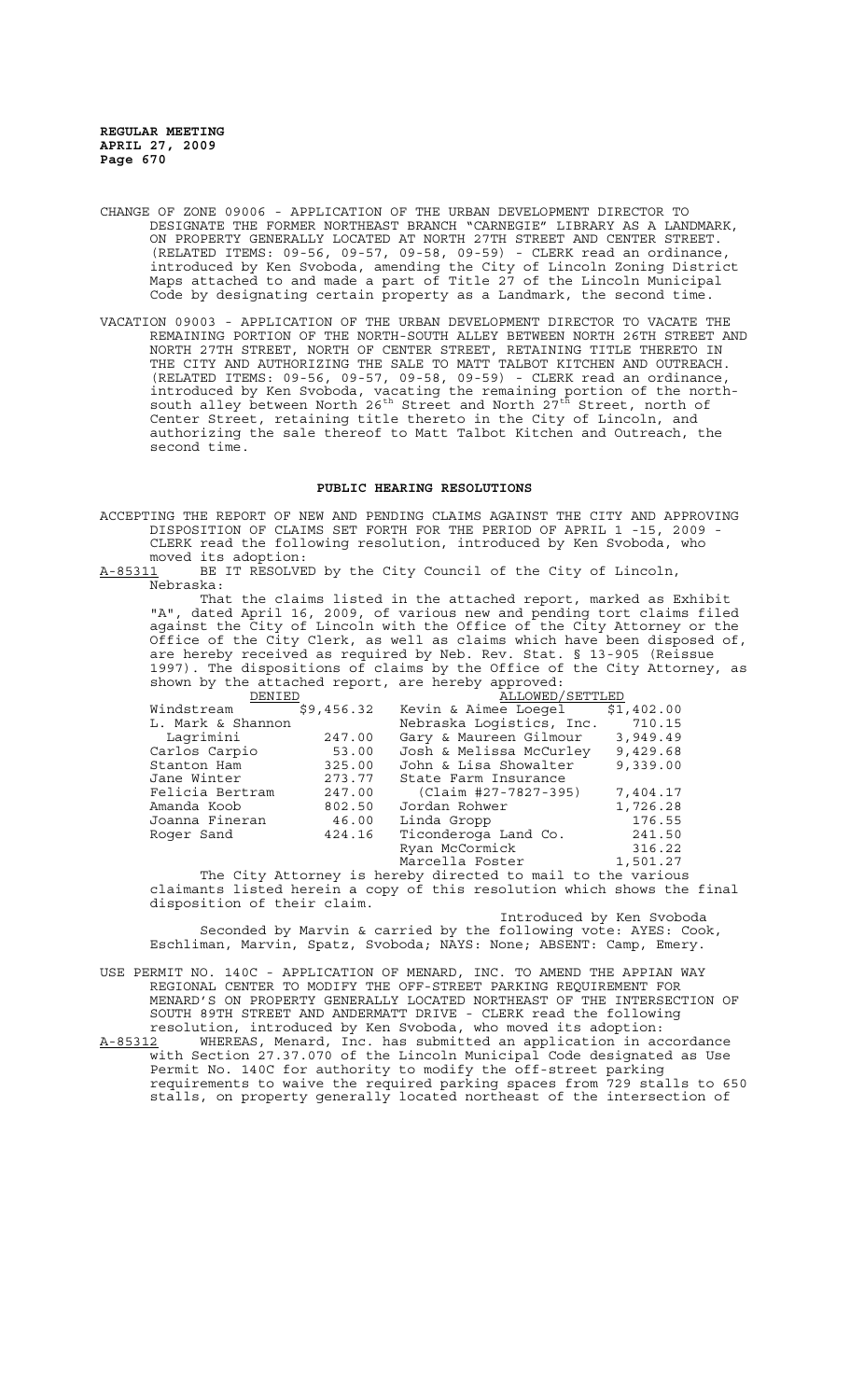- CHANGE OF ZONE 09006 APPLICATION OF THE URBAN DEVELOPMENT DIRECTOR TO DESIGNATE THE FORMER NORTHEAST BRANCH "CARNEGIE" LIBRARY AS A LANDMARK, ON PROPERTY GENERALLY LOCATED AT NORTH 27TH STREET AND CENTER STREET. (RELATED ITEMS: 09-56, 09-57, 09-58, 09-59) - CLERK read an ordinance, introduced by Ken Svoboda, amending the City of Lincoln Zoning District Maps attached to and made a part of Title 27 of the Lincoln Municipal Code by designating certain property as a Landmark, the second time.
- VACATION 09003 APPLICATION OF THE URBAN DEVELOPMENT DIRECTOR TO VACATE THE REMAINING PORTION OF THE NORTH-SOUTH ALLEY BETWEEN NORTH 26TH STREET AND NORTH 27TH STREET, NORTH OF CENTER STREET, RETAINING TITLE THERETO IN THE CITY AND AUTHORIZING THE SALE TO MATT TALBOT KITCHEN AND OUTREACH. (RELATED ITEMS: 09-56, 09-57, 09-58, 09-59) - CLERK read an ordinance, introduced by Ken Svoboda, vacating the remaining portion of the northsouth alley between North 26<sup>th</sup> Street and North  $27^{\text{th}}$  Street, north of Center Street, retaining title thereto in the City of Lincoln, and authorizing the sale thereof to Matt Talbot Kitchen and Outreach, the second time.

#### **PUBLIC HEARING RESOLUTIONS**

ACCEPTING THE REPORT OF NEW AND PENDING CLAIMS AGAINST THE CITY AND APPROVING DISPOSITION OF CLAIMS SET FORTH FOR THE PERIOD OF APRIL 1 -15, 2009 - CLERK read the following resolution, introduced by Ken Svoboda, who

moved its adoption:<br>A-85311 BE IT RESOLVE BE IT RESOLVED by the City Council of the City of Lincoln, Nebraska:

That the claims listed in the attached report, marked as Exhibit "A", dated April 16, 2009, of various new and pending tort claims filed against the City of Lincoln with the Office of the City Attorney or the Office of the City Clerk, as well as claims which have been disposed of, are hereby received as required by Neb. Rev. Stat. § 13-905 (Reissue 1997). The dispositions of claims by the Office of the City Attorney, as shown by the attached report, are hereby approved:

| DENIED                                                      |            | ALLOWED/SETTLED          |            |  |
|-------------------------------------------------------------|------------|--------------------------|------------|--|
| Windstream                                                  | \$9,456.32 | Kevin & Aimee Loegel     | \$1,402.00 |  |
| L. Mark & Shannon                                           |            | Nebraska Logistics, Inc. | 710.15     |  |
| Lagrimini                                                   | 247.00     | Gary & Maureen Gilmour   | 3,949.49   |  |
| Carlos Carpio                                               | 53.00      | Josh & Melissa McCurley  | 9,429.68   |  |
| Stanton Ham                                                 | 325.00     | John & Lisa Showalter    | 9,339.00   |  |
| Jane Winter                                                 | 273.77     | State Farm Insurance     |            |  |
| Felicia Bertram                                             | 247.00     | (Claim #27-7827-395)     | 7,404.17   |  |
| Amanda Koob                                                 | 802.50     | Jordan Rohwer            | 1,726.28   |  |
| Joanna Fineran                                              | 46.00      | Linda Gropp              | 176.55     |  |
| Roger Sand                                                  | 424.16     | Ticonderoga Land Co.     | 241.50     |  |
|                                                             |            | Ryan McCormick           | 316.22     |  |
|                                                             |            | Marcella Foster          | 1,501.27   |  |
| The City Attorney is hereby directed to mail to the various |            |                          |            |  |

claimants listed herein a copy of this resolution which shows the final disposition of their claim.

Introduced by Ken Svoboda

Seconded by Marvin & carried by the following vote: AYES: Cook, Eschliman, Marvin, Spatz, Svoboda; NAYS: None; ABSENT: Camp, Emery.

USE PERMIT NO. 140C - APPLICATION OF MENARD, INC. TO AMEND THE APPIAN WAY REGIONAL CENTER TO MODIFY THE OFF-STREET PARKING REQUIREMENT FOR MENARD'S ON PROPERTY GENERALLY LOCATED NORTHEAST OF THE INTERSECTION OF SOUTH 89TH STREET AND ANDERMATT DRIVE - CLERK read the following resolution, introduced by Ken Svoboda, who moved its adoption:

A-85312 WHEREAS, Menard, Inc. has submitted an application in accordance with Section 27.37.070 of the Lincoln Municipal Code designated as Use Permit No. 140C for authority to modify the off-street parking requirements to waive the required parking spaces from 729 stalls to 650 stalls, on property generally located northeast of the intersection of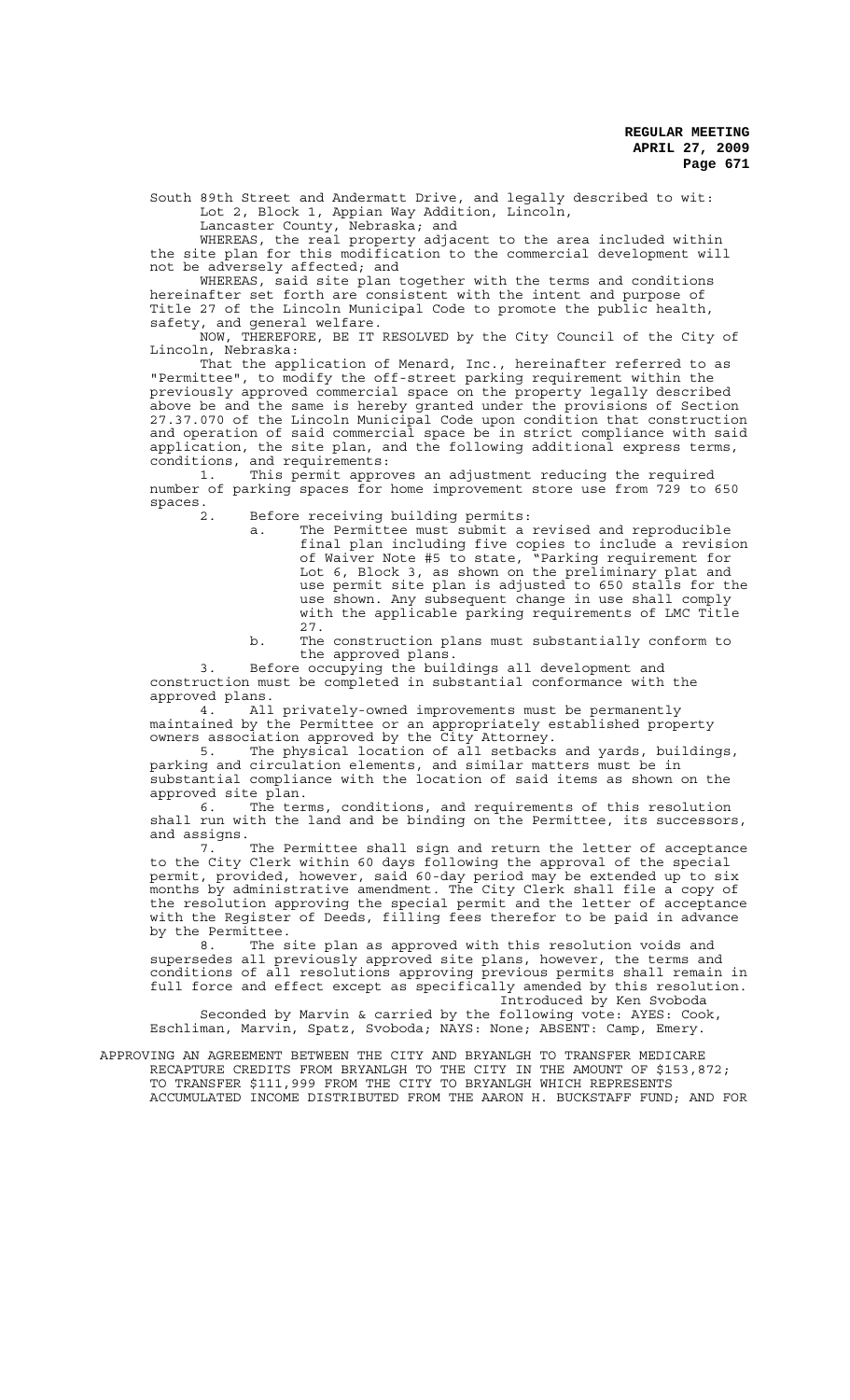South 89th Street and Andermatt Drive, and legally described to wit: Lot 2, Block 1, Appian Way Addition, Lincoln, Lancaster County, Nebraska; and

WHEREAS, the real property adjacent to the area included within the site plan for this modification to the commercial development will not be adversely affected; and

WHEREAS, said site plan together with the terms and conditions hereinafter set forth are consistent with the intent and purpose of Title 27 of the Lincoln Municipal Code to promote the public health, safety, and general welfare.

NOW, THEREFORE, BE IT RESOLVED by the City Council of the City of Lincoln, Nebraska:

That the application of Menard, Inc., hereinafter referred to as "Permittee", to modify the off-street parking requirement within the previously approved commercial space on the property legally described above be and the same is hereby granted under the provisions of Section 27.37.070 of the Lincoln Municipal Code upon condition that construction and operation of said commercial space be in strict compliance with said application, the site plan, and the following additional express terms, conditions, and requirements:

1. This permit approves an adjustment reducing the required number of parking spaces for home improvement store use from 729 to 650  $spaces.$ 

Before receiving building permits:

a. The Permittee must submit a revised and reproducible final plan including five copies to include a revision of Waiver Note #5 to state, "Parking requirement for Lot 6, Block 3, as shown on the preliminary plat and use permit site plan is adjusted to 650 stalls for the use shown. Any subsequent change in use shall comply with the applicable parking requirements of LMC Title 27.

b. The construction plans must substantially conform to the approved plans.

3. Before occupying the buildings all development and construction must be completed in substantial conformance with the approved plans.

4. All privately-owned improvements must be permanently maintained by the Permittee or an appropriately established property owners association approved by the City Attorney.

5. The physical location of all setbacks and yards, buildings, parking and circulation elements, and similar matters must be in substantial compliance with the location of said items as shown on the approved site plan.

6. The terms, conditions, and requirements of this resolution shall run with the land and be binding on the Permittee, its successors, and assigns.

7. The Permittee shall sign and return the letter of acceptance to the City Clerk within 60 days following the approval of the special permit, provided, however, said 60-day period may be extended up to six months by administrative amendment. The City Clerk shall file a copy of the resolution approving the special permit and the letter of acceptance with the Register of Deeds, filling fees therefor to be paid in advance by the Permittee.<br>8 The s

The site plan as approved with this resolution voids and supersedes all previously approved site plans, however, the terms and conditions of all resolutions approving previous permits shall remain in full force and effect except as specifically amended by this resolution. Introduced by Ken Svoboda

Seconded by Marvin & carried by the following vote: AYES: Cook, Eschliman, Marvin, Spatz, Svoboda; NAYS: None; ABSENT: Camp, Emery.

## APPROVING AN AGREEMENT BETWEEN THE CITY AND BRYANLGH TO TRANSFER MEDICARE RECAPTURE CREDITS FROM BRYANLGH TO THE CITY IN THE AMOUNT OF \$153,872; TO TRANSFER \$111,999 FROM THE CITY TO BRYANLGH WHICH REPRESENTS

ACCUMULATED INCOME DISTRIBUTED FROM THE AARON H. BUCKSTAFF FUND; AND FOR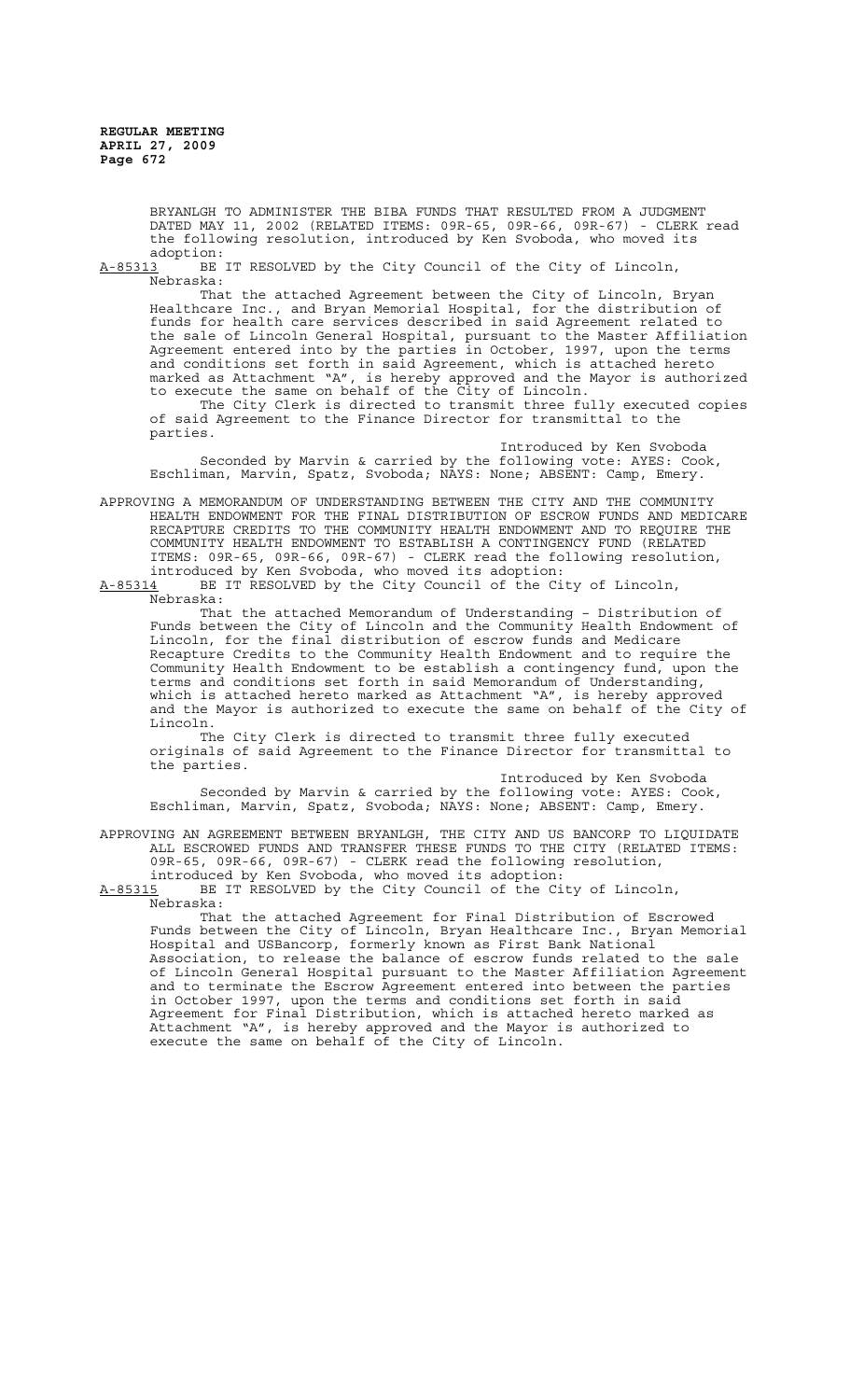> BRYANLGH TO ADMINISTER THE BIBA FUNDS THAT RESULTED FROM A JUDGMENT DATED MAY 11, 2002 (RELATED ITEMS: 09R-65, 09R-66, 09R-67) - CLERK read the following resolution, introduced by Ken Svoboda, who moved its

adoption:<br><u>A-85313</u> BE BE IT RESOLVED by the City Council of the City of Lincoln, Nebraska:

That the attached Agreement between the City of Lincoln, Bryan Healthcare Inc., and Bryan Memorial Hospital, for the distribution of funds for health care services described in said Agreement related to the sale of Lincoln General Hospital, pursuant to the Master Affiliation Agreement entered into by the parties in October, 1997, upon the terms and conditions set forth in said Agreement, which is attached hereto marked as Attachment "A", is hereby approved and the Mayor is authorized to execute the same on behalf of the City of Lincoln. The City Clerk is directed to transmit three fully executed copies

of said Agreement to the Finance Director for transmittal to the parties.

Introduced by Ken Svoboda Seconded by Marvin & carried by the following vote: AYES: Cook, Eschliman, Marvin, Spatz, Svoboda; NAYS: None; ABSENT: Camp, Emery.

APPROVING A MEMORANDUM OF UNDERSTANDING BETWEEN THE CITY AND THE COMMUNITY HEALTH ENDOWMENT FOR THE FINAL DISTRIBUTION OF ESCROW FUNDS AND MEDICARE RECAPTURE CREDITS TO THE COMMUNITY HEALTH ENDOWMENT AND TO REQUIRE THE COMMUNITY HEALTH ENDOWMENT TO ESTABLISH A CONTINGENCY FUND (RELATED ITEMS: 09R-65, 09R-66, 09R-67) - CLERK read the following resolution, introduced by Ken Svoboda, who moved its adoption:

A-85314 BE IT RESOLVED by the City Council of the City of Lincoln, Nebraska:

That the attached Memorandum of Understanding – Distribution of Funds between the City of Lincoln and the Community Health Endowment of Lincoln, for the final distribution of escrow funds and Medicare Recapture Credits to the Community Health Endowment and to require the Community Health Endowment to be establish a contingency fund, upon the terms and conditions set forth in said Memorandum of Understanding, which is attached hereto marked as Attachment "A", is hereby approved and the Mayor is authorized to execute the same on behalf of the City of Lincoln.

The City Clerk is directed to transmit three fully executed originals of said Agreement to the Finance Director for transmittal to the parties.

Introduced by Ken Svoboda

Seconded by Marvin & carried by the following vote: AYES: Cook, Eschliman, Marvin, Spatz, Svoboda; NAYS: None; ABSENT: Camp, Emery.

APPROVING AN AGREEMENT BETWEEN BRYANLGH, THE CITY AND US BANCORP TO LIQUIDATE ALL ESCROWED FUNDS AND TRANSFER THESE FUNDS TO THE CITY (RELATED ITEMS: 09R-65, 09R-66, 09R-67) - CLERK read the following resolution,

introduced by Ken Svoboda, who moved its adoption:<br>A-85315 BE IT RESOLVED by the City Council of the Ci BE IT RESOLVED by the City Council of the City of Lincoln, Nebraska:

That the attached Agreement for Final Distribution of Escrowed Funds between the City of Lincoln, Bryan Healthcare Inc., Bryan Memorial Hospital and USBancorp, formerly known as First Bank National Association, to release the balance of escrow funds related to the sale of Lincoln General Hospital pursuant to the Master Affiliation Agreement and to terminate the Escrow Agreement entered into between the parties in October 1997, upon the terms and conditions set forth in said Agreement for Final Distribution, which is attached hereto marked as Attachment "A", is hereby approved and the Mayor is authorized to execute the same on behalf of the City of Lincoln.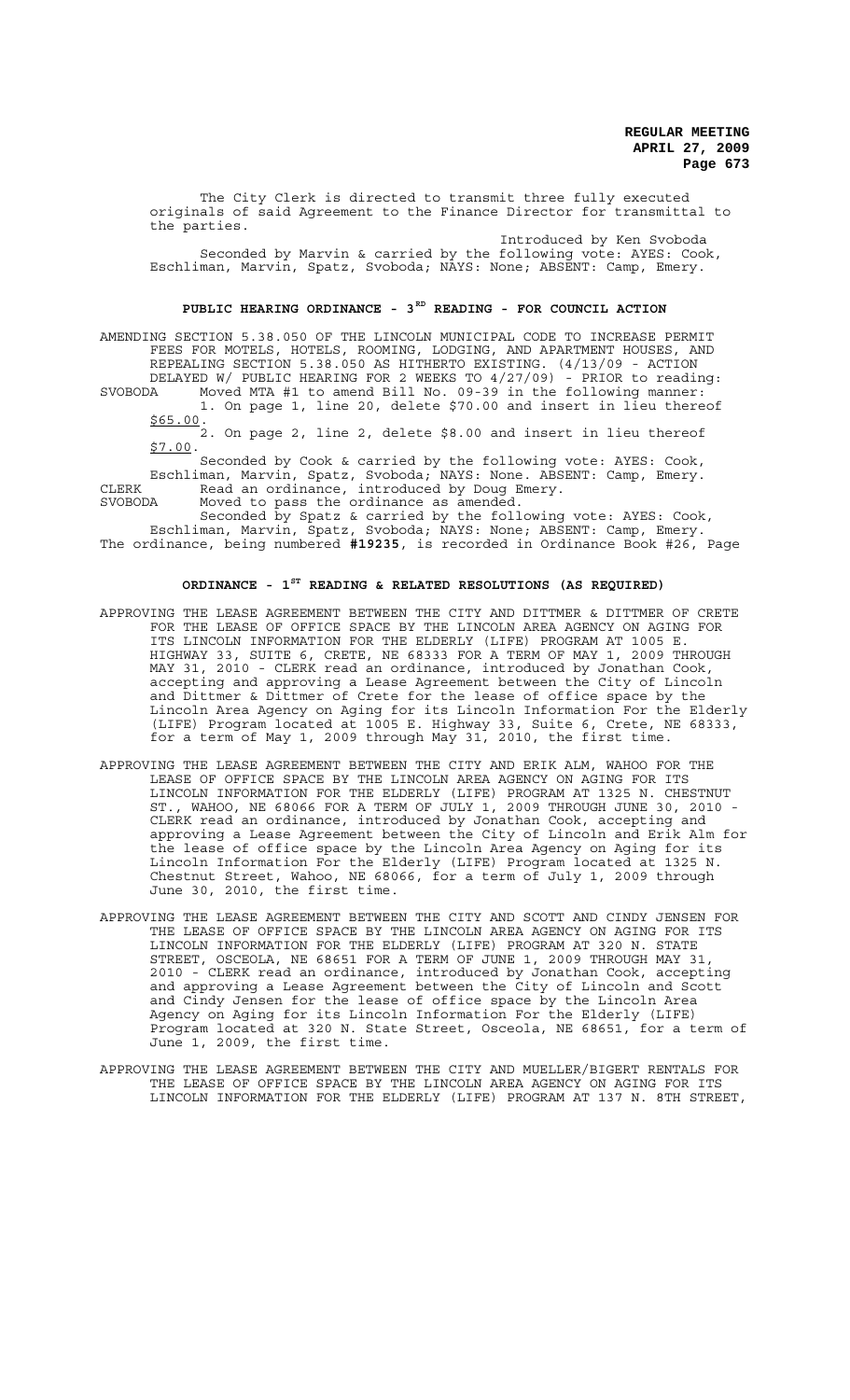The City Clerk is directed to transmit three fully executed originals of said Agreement to the Finance Director for transmittal to the parties.

Introduced by Ken Svoboda Seconded by Marvin & carried by the following vote: AYES: Cook, Eschliman, Marvin, Spatz, Svoboda; NAYS: None; ABSENT: Camp, Emery.

## PUBLIC HEARING ORDINANCE - 3<sup>RD</sup> READING - FOR COUNCIL ACTION

AMENDING SECTION 5.38.050 OF THE LINCOLN MUNICIPAL CODE TO INCREASE PERMIT FEES FOR MOTELS, HOTELS, ROOMING, LODGING, AND APARTMENT HOUSES, AND REPEALING SECTION 5.38.050 AS HITHERTO EXISTING. (4/13/09 - ACTION DELAYED W/ PUBLIC HEARING FOR 2 WEEKS TO 4/27/09) - PRIOR to reading: SVOBODA Moved MTA #1 to amend Bill No. 09-39 in the following manner:

1. On page 1, line 20, delete \$70.00 and insert in lieu thereof \$65.00.

2. On page 2, line 2, delete \$8.00 and insert in lieu thereof \$7.00.

Seconded by Cook & carried by the following vote: AYES: Cook, Eschliman, Marvin, Spatz, Svoboda; NAYS: None. ABSENT: Camp, Emery. CLERK Read an ordinance, introduced by Doug Emery.

SVOBODA Moved to pass the ordinance as amended.

Seconded by Spatz & carried by the following vote: AYES: Cook, Eschliman, Marvin, Spatz, Svoboda; NAYS: None; ABSENT: Camp, Emery. The ordinance, being numbered **#19235**, is recorded in Ordinance Book #26, Page

# **ORDINANCE - 1ST READING & RELATED RESOLUTIONS (AS REQUIRED)**

- APPROVING THE LEASE AGREEMENT BETWEEN THE CITY AND DITTMER & DITTMER OF CRETE FOR THE LEASE OF OFFICE SPACE BY THE LINCOLN AREA AGENCY ON AGING FOR ITS LINCOLN INFORMATION FOR THE ELDERLY (LIFE) PROGRAM AT 1005 E. HIGHWAY 33, SUITE 6, CRETE, NE 68333 FOR A TERM OF MAY 1, 2009 THROUGH MAY 31, 2010 - CLERK read an ordinance, introduced by Jonathan Cook, accepting and approving a Lease Agreement between the City of Lincoln and Dittmer & Dittmer of Crete for the lease of office space by the Lincoln Area Agency on Aging for its Lincoln Information For the Elderly (LIFE) Program located at 1005 E. Highway 33, Suite 6, Crete, NE 68333, for a term of May 1, 2009 through May 31, 2010, the first time.
- APPROVING THE LEASE AGREEMENT BETWEEN THE CITY AND ERIK ALM, WAHOO FOR THE LEASE OF OFFICE SPACE BY THE LINCOLN AREA AGENCY ON AGING FOR ITS LINCOLN INFORMATION FOR THE ELDERLY (LIFE) PROGRAM AT 1325 N. CHESTNUT ST., WAHOO, NE 68066 FOR A TERM OF JULY 1, 2009 THROUGH JUNE 30, 2010 - CLERK read an ordinance, introduced by Jonathan Cook, accepting and approving a Lease Agreement between the City of Lincoln and Erik Alm for the lease of office space by the Lincoln Area Agency on Aging for its Lincoln Information For the Elderly (LIFE) Program located at 1325 N. Chestnut Street, Wahoo, NE 68066, for a term of July 1, 2009 through June 30, 2010, the first time.
- APPROVING THE LEASE AGREEMENT BETWEEN THE CITY AND SCOTT AND CINDY JENSEN FOR THE LEASE OF OFFICE SPACE BY THE LINCOLN AREA AGENCY ON AGING FOR ITS LINCOLN INFORMATION FOR THE ELDERLY (LIFE) PROGRAM AT 320 N. STATE STREET, OSCEOLA, NE 68651 FOR A TERM OF JUNE 1, 2009 THROUGH MAY 31, 2010 - CLERK read an ordinance, introduced by Jonathan Cook, accepting and approving a Lease Agreement between the City of Lincoln and Scott and Cindy Jensen for the lease of office space by the Lincoln Area Agency on Aging for its Lincoln Information For the Elderly (LIFE) Program located at 320 N. State Street, Osceola, NE 68651, for a term of June 1, 2009, the first time.
- APPROVING THE LEASE AGREEMENT BETWEEN THE CITY AND MUELLER/BIGERT RENTALS FOR THE LEASE OF OFFICE SPACE BY THE LINCOLN AREA AGENCY ON AGING FOR ITS LINCOLN INFORMATION FOR THE ELDERLY (LIFE) PROGRAM AT 137 N. 8TH STREET,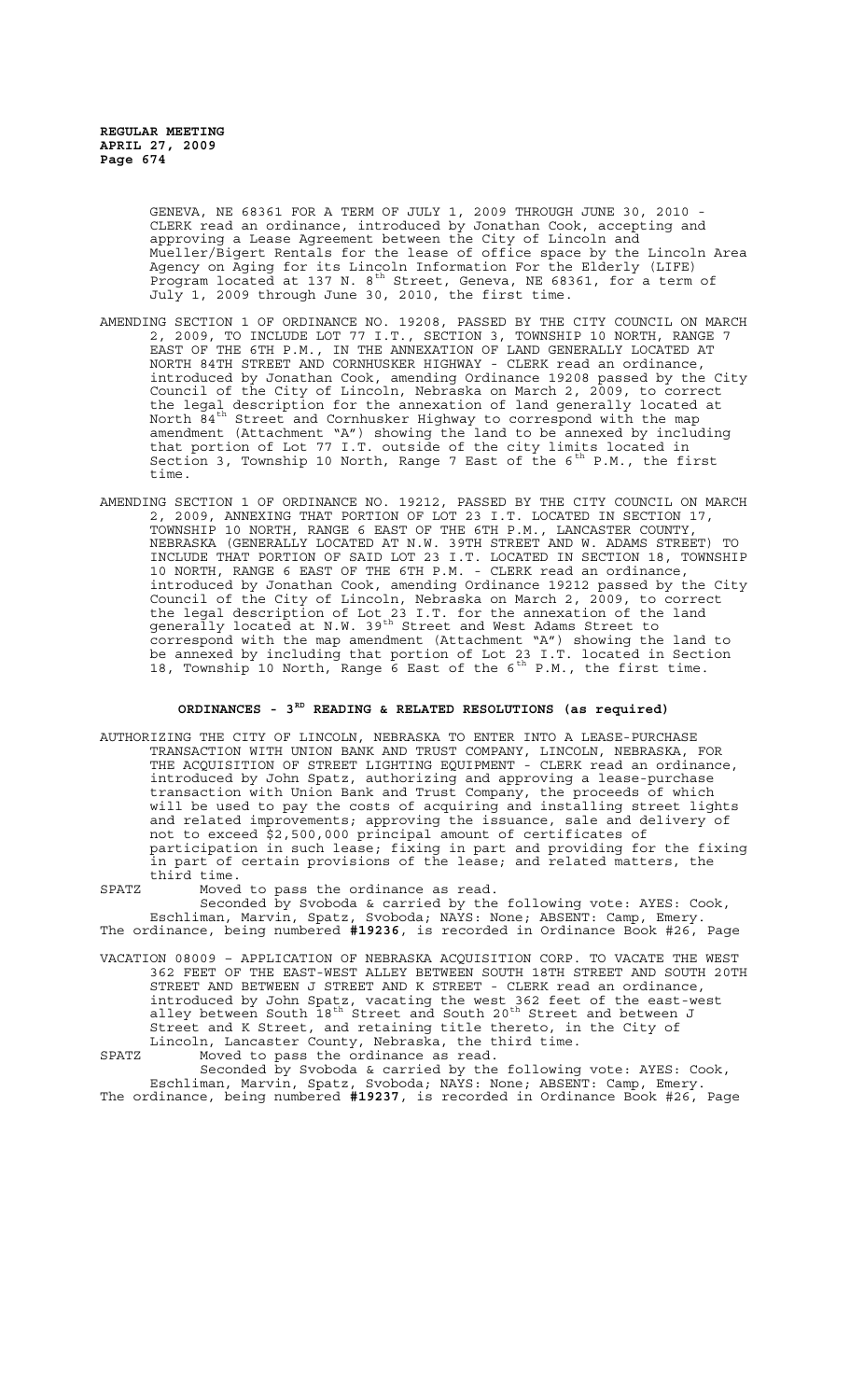> GENEVA, NE 68361 FOR A TERM OF JULY 1, 2009 THROUGH JUNE 30, 2010 - CLERK read an ordinance, introduced by Jonathan Cook, accepting and approving a Lease Agreement between the City of Lincoln and Mueller/Bigert Rentals for the lease of office space by the Lincoln Area Agency on Aging for its Lincoln Information For the Elderly (LIFE) Program located at 137 N. 8<sup>th</sup> Street, Geneva, NE 68361, for a term of July 1, 2009 through June 30, 2010, the first time.

- AMENDING SECTION 1 OF ORDINANCE NO. 19208, PASSED BY THE CITY COUNCIL ON MARCH 2, 2009, TO INCLUDE LOT 77 I.T., SECTION 3, TOWNSHIP 10 NORTH, RANGE 7 EAST OF THE 6TH P.M., IN THE ANNEXATION OF LAND GENERALLY LOCATED AT NORTH 84TH STREET AND CORNHUSKER HIGHWAY - CLERK read an ordinance, introduced by Jonathan Cook, amending Ordinance 19208 passed by the City Council of the City of Lincoln, Nebraska on March 2, 2009, to correct the legal description for the annexation of land generally located at North  $\bar{8}4^\text{th}$  Street and Cornhusker Highway to correspond with the map amendment (Attachment "A") showing the land to be annexed by including that portion of Lot 77 I.T. outside of the city limits located in Section 3, Township 10 North, Range 7 East of the 6<sup>th</sup> P.M., the first time.
- AMENDING SECTION 1 OF ORDINANCE NO. 19212, PASSED BY THE CITY COUNCIL ON MARCH 2, 2009, ANNEXING THAT PORTION OF LOT 23 I.T. LOCATED IN SECTION 17, TOWNSHIP 10 NORTH, RANGE 6 EAST OF THE 6TH P.M., LANCASTER COUNTY, NEBRASKA (GENERALLY LOCATED AT N.W. 39TH STREET AND W. ADAMS STREET) TO INCLUDE THAT PORTION OF SAID LOT 23 I.T. LOCATED IN SECTION 18, TOWNSHIP 10 NORTH, RANGE 6 EAST OF THE 6TH P.M. - CLERK read an ordinance, introduced by Jonathan Cook, amending Ordinance 19212 passed by the City Council of the City of Lincoln, Nebraska on March 2, 2009, to correct the legal description of Lot 23 I.T. for the annexation of the land generally located at N.W. 39<sup>th</sup> Street and West Adams Street to correspond with the map amendment (Attachment "A") showing the land to be annexed by including that portion of Lot 23 I.T. located in Section 18, Township 10 North, Range  $6$  East of the  $6^{th}$  P.M., the first time.

# **ORDINANCES - 3RD READING & RELATED RESOLUTIONS (as required)**

AUTHORIZING THE CITY OF LINCOLN, NEBRASKA TO ENTER INTO A LEASE-PURCHASE TRANSACTION WITH UNION BANK AND TRUST COMPANY, LINCOLN, NEBRASKA, FOR THE ACQUISITION OF STREET LIGHTING EQUIPMENT - CLERK read an ordinance, introduced by John Spatz, authorizing and approving a lease-purchase transaction with Union Bank and Trust Company, the proceeds of which will be used to pay the costs of acquiring and installing street lights and related improvements; approving the issuance, sale and delivery of not to exceed \$2,500,000 principal amount of certificates of participation in such lease; fixing in part and providing for the fixing in part of certain provisions of the lease; and related matters, the third time.

SPATZ Moved to pass the ordinance as read.

Seconded by Svoboda & carried by the following vote: AYES: Cook, Eschliman, Marvin, Spatz, Svoboda; NAYS: None; ABSENT: Camp, Emery. The ordinance, being numbered **#19236**, is recorded in Ordinance Book #26, Page

VACATION 08009 – APPLICATION OF NEBRASKA ACQUISITION CORP. TO VACATE THE WEST 362 FEET OF THE EAST-WEST ALLEY BETWEEN SOUTH 18TH STREET AND SOUTH 20TH STREET AND BETWEEN J STREET AND K STREET - CLERK read an ordinance, introduced by John Spatz, vacating the west 362 feet of the east-west alley between South  $18^{\text{th}}$  Street and South 20<sup>th</sup> Street and between J Street and K Street, and retaining title thereto, in the City of Lincoln, Lancaster County, Nebraska, the third time.

SPATZ Moved to pass the ordinance as read. Seconded by Svoboda & carried by the following vote: AYES: Cook, Eschliman, Marvin, Spatz, Svoboda; NAYS: None; ABSENT: Camp, Emery.

The ordinance, being numbered **#19237**, is recorded in Ordinance Book #26, Page